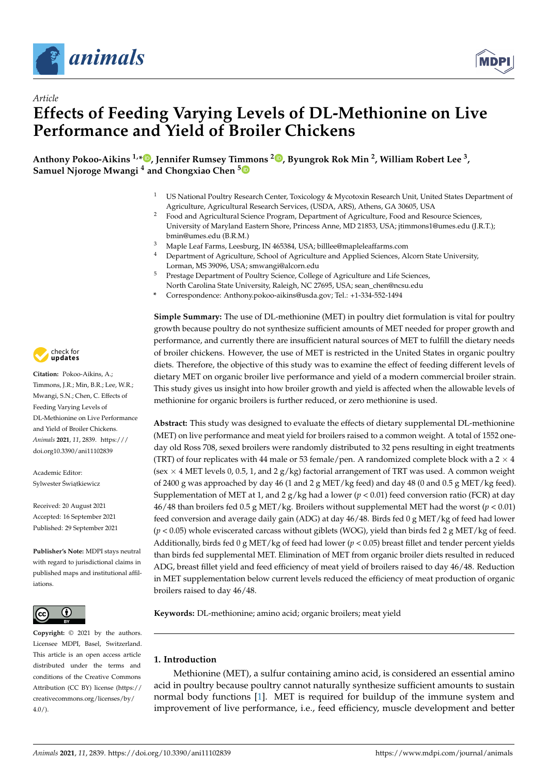

*Article*



# **Effects of Feeding Varying Levels of DL-Methionine on Live Performance and Yield of Broiler Chickens**

**Anthony Pokoo-Aikins 1,[\\*](https://orcid.org/0000-0001-9778-3053) , Jennifer Rumsey Timmons [2](https://orcid.org/0000-0002-0222-3617) , Byungrok Rok Min <sup>2</sup> , William Robert Lee <sup>3</sup> , Samuel Njoroge Mwangi <sup>4</sup> and Chongxiao Chen [5](https://orcid.org/0000-0002-4597-4031)**

- <sup>1</sup> US National Poultry Research Center, Toxicology & Mycotoxin Research Unit, United States Department of Agriculture, Agricultural Research Services, (USDA, ARS), Athens, GA 30605, USA
- <sup>2</sup> Food and Agricultural Science Program, Department of Agriculture, Food and Resource Sciences, University of Maryland Eastern Shore, Princess Anne, MD 21853, USA; jtimmons1@umes.edu (J.R.T.); bmin@umes.edu (B.R.M.)
- <sup>3</sup> Maple Leaf Farms, Leesburg, IN 465384, USA; billlee@mapleleaffarms.com
- <sup>4</sup> Department of Agriculture, School of Agriculture and Applied Sciences, Alcorn State University, Lorman, MS 39096, USA; smwangi@alcorn.edu
- Prestage Department of Poultry Science, College of Agriculture and Life Sciences, North Carolina State University, Raleigh, NC 27695, USA; sean\_chen@ncsu.edu
- **\*** Correspondence: Anthony.pokoo-aikins@usda.gov; Tel.: +1-334-552-1494

**Simple Summary:** The use of DL-methionine (MET) in poultry diet formulation is vital for poultry growth because poultry do not synthesize sufficient amounts of MET needed for proper growth and performance, and currently there are insufficient natural sources of MET to fulfill the dietary needs of broiler chickens. However, the use of MET is restricted in the United States in organic poultry diets. Therefore, the objective of this study was to examine the effect of feeding different levels of dietary MET on organic broiler live performance and yield of a modern commercial broiler strain. This study gives us insight into how broiler growth and yield is affected when the allowable levels of methionine for organic broilers is further reduced, or zero methionine is used.

**Abstract:** This study was designed to evaluate the effects of dietary supplemental DL-methionine (MET) on live performance and meat yield for broilers raised to a common weight. A total of 1552 oneday old Ross 708, sexed broilers were randomly distributed to 32 pens resulting in eight treatments (TRT) of four replicates with 44 male or 53 female/pen. A randomized complete block with a  $2 \times 4$ (sex  $\times$  4 MET levels 0, 0.5, 1, and 2 g/kg) factorial arrangement of TRT was used. A common weight of 2400 g was approached by day 46 (1 and 2 g MET/kg feed) and day 48 (0 and 0.5 g MET/kg feed). Supplementation of MET at 1, and 2  $g/kg$  had a lower ( $p < 0.01$ ) feed conversion ratio (FCR) at day 46/48 than broilers fed 0.5 g MET/kg. Broilers without supplemental MET had the worst (*p* < 0.01) feed conversion and average daily gain (ADG) at day 46/48. Birds fed 0 g MET/kg of feed had lower  $(p < 0.05)$  whole eviscerated carcass without giblets (WOG), yield than birds fed 2 g MET/kg of feed. Additionally, birds fed 0 g MET/kg of feed had lower (*p* < 0.05) breast fillet and tender percent yields than birds fed supplemental MET. Elimination of MET from organic broiler diets resulted in reduced ADG, breast fillet yield and feed efficiency of meat yield of broilers raised to day 46/48. Reduction in MET supplementation below current levels reduced the efficiency of meat production of organic broilers raised to day 46/48.

**Keywords:** DL-methionine; amino acid; organic broilers; meat yield

## **1. Introduction**

Methionine (MET), a sulfur containing amino acid, is considered an essential amino acid in poultry because poultry cannot naturally synthesize sufficient amounts to sustain normal body functions [\[1\]](#page-13-0). MET is required for buildup of the immune system and improvement of live performance, i.e., feed efficiency, muscle development and better



**Citation:** Pokoo-Aikins, A.; Timmons, J.R.; Min, B.R.; Lee, W.R.; Mwangi, S.N.; Chen, C. Effects of Feeding Varying Levels of DL-Methionine on Live Performance and Yield of Broiler Chickens. *Animals* **2021**, *11*, 2839. [https:///](https://doi.org/10.3390/ani11102839) [doi.org10.3390/ani11102839](https://doi.org/10.3390/ani11102839)

Academic Editor: Sylwester Światkiewicz

Received: 20 August 2021 Accepted: 16 September 2021 Published: 29 September 2021

**Publisher's Note:** MDPI stays neutral with regard to jurisdictional claims in published maps and institutional affiliations.



**Copyright:** © 2021 by the authors. Licensee MDPI, Basel, Switzerland. This article is an open access article distributed under the terms and conditions of the Creative Commons Attribution (CC BY) license (https:/[/](https://creativecommons.org/licenses/by/4.0/) [creativecommons.org/licenses/by/](https://creativecommons.org/licenses/by/4.0/)  $4.0/$ ).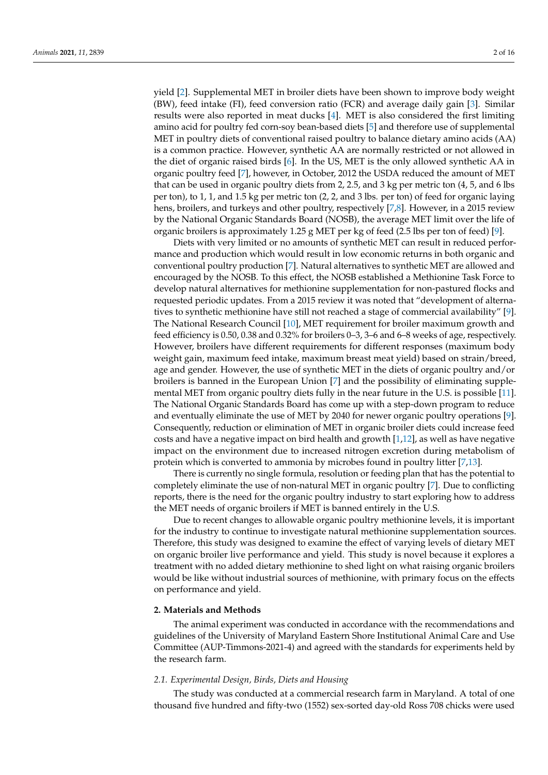yield [\[2\]](#page-13-1). Supplemental MET in broiler diets have been shown to improve body weight (BW), feed intake (FI), feed conversion ratio (FCR) and average daily gain [\[3\]](#page-13-2). Similar results were also reported in meat ducks [\[4\]](#page-13-3). MET is also considered the first limiting amino acid for poultry fed corn-soy bean-based diets [\[5\]](#page-13-4) and therefore use of supplemental MET in poultry diets of conventional raised poultry to balance dietary amino acids (AA) is a common practice. However, synthetic AA are normally restricted or not allowed in the diet of organic raised birds [\[6\]](#page-13-5). In the US, MET is the only allowed synthetic AA in organic poultry feed [\[7\]](#page-13-6), however, in October, 2012 the USDA reduced the amount of MET that can be used in organic poultry diets from 2, 2.5, and 3 kg per metric ton (4, 5, and 6 lbs per ton), to 1, 1, and 1.5 kg per metric ton (2, 2, and 3 lbs. per ton) of feed for organic laying hens, broilers, and turkeys and other poultry, respectively [\[7](#page-13-6)[,8\]](#page-13-7). However, in a 2015 review by the National Organic Standards Board (NOSB), the average MET limit over the life of organic broilers is approximately 1.25 g MET per kg of feed (2.5 lbs per ton of feed) [\[9\]](#page-13-8).

Diets with very limited or no amounts of synthetic MET can result in reduced performance and production which would result in low economic returns in both organic and conventional poultry production [\[7\]](#page-13-6). Natural alternatives to synthetic MET are allowed and encouraged by the NOSB. To this effect, the NOSB established a Methionine Task Force to develop natural alternatives for methionine supplementation for non-pastured flocks and requested periodic updates. From a 2015 review it was noted that "development of alternatives to synthetic methionine have still not reached a stage of commercial availability" [\[9\]](#page-13-8). The National Research Council [\[10\]](#page-13-9), MET requirement for broiler maximum growth and feed efficiency is 0.50, 0.38 and 0.32% for broilers 0–3, 3–6 and 6–8 weeks of age, respectively. However, broilers have different requirements for different responses (maximum body weight gain, maximum feed intake, maximum breast meat yield) based on strain/breed, age and gender. However, the use of synthetic MET in the diets of organic poultry and/or broilers is banned in the European Union [\[7\]](#page-13-6) and the possibility of eliminating supplemental MET from organic poultry diets fully in the near future in the U.S. is possible [\[11\]](#page-13-10). The National Organic Standards Board has come up with a step-down program to reduce and eventually eliminate the use of MET by 2040 for newer organic poultry operations [\[9\]](#page-13-8). Consequently, reduction or elimination of MET in organic broiler diets could increase feed costs and have a negative impact on bird health and growth [\[1,](#page-13-0)[12\]](#page-13-11), as well as have negative impact on the environment due to increased nitrogen excretion during metabolism of protein which is converted to ammonia by microbes found in poultry litter [\[7,](#page-13-6)[13\]](#page-13-12).

There is currently no single formula, resolution or feeding plan that has the potential to completely eliminate the use of non-natural MET in organic poultry [\[7\]](#page-13-6). Due to conflicting reports, there is the need for the organic poultry industry to start exploring how to address the MET needs of organic broilers if MET is banned entirely in the U.S.

Due to recent changes to allowable organic poultry methionine levels, it is important for the industry to continue to investigate natural methionine supplementation sources. Therefore, this study was designed to examine the effect of varying levels of dietary MET on organic broiler live performance and yield. This study is novel because it explores a treatment with no added dietary methionine to shed light on what raising organic broilers would be like without industrial sources of methionine, with primary focus on the effects on performance and yield.

### **2. Materials and Methods**

The animal experiment was conducted in accordance with the recommendations and guidelines of the University of Maryland Eastern Shore Institutional Animal Care and Use Committee (AUP-Timmons-2021-4) and agreed with the standards for experiments held by the research farm.

## *2.1. Experimental Design, Birds, Diets and Housing*

The study was conducted at a commercial research farm in Maryland. A total of one thousand five hundred and fifty-two (1552) sex-sorted day-old Ross 708 chicks were used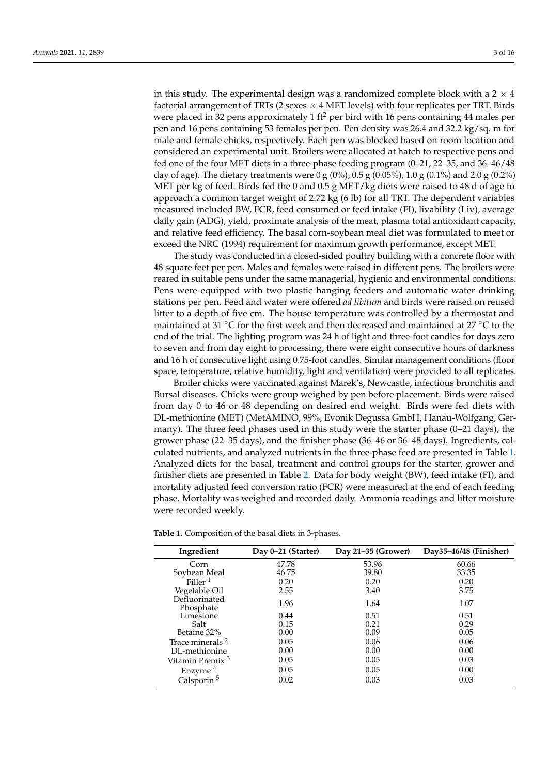in this study. The experimental design was a randomized complete block with a  $2 \times 4$ factorial arrangement of TRTs (2 sexes  $\times$  4 MET levels) with four replicates per TRT. Birds were placed in 32 pens approximately 1 ft<sup>2</sup> per bird with 16 pens containing 44 males per pen and 16 pens containing 53 females per pen. Pen density was 26.4 and 32.2 kg/sq. m for male and female chicks, respectively. Each pen was blocked based on room location and considered an experimental unit. Broilers were allocated at hatch to respective pens and fed one of the four MET diets in a three-phase feeding program (0–21, 22–35, and 36–46/48 day of age). The dietary treatments were 0 g (0%), 0.5 g (0.05%), 1.0 g (0.1%) and 2.0 g (0.2%) MET per kg of feed. Birds fed the 0 and  $0.5$  g MET/kg diets were raised to 48 d of age to approach a common target weight of 2.72 kg (6 lb) for all TRT. The dependent variables measured included BW, FCR, feed consumed or feed intake (FI), livability (Liv), average daily gain (ADG), yield, proximate analysis of the meat, plasma total antioxidant capacity, and relative feed efficiency. The basal corn-soybean meal diet was formulated to meet or

The study was conducted in a closed-sided poultry building with a concrete floor with 48 square feet per pen. Males and females were raised in different pens. The broilers were reared in suitable pens under the same managerial, hygienic and environmental conditions. Pens were equipped with two plastic hanging feeders and automatic water drinking stations per pen. Feed and water were offered *ad libitum* and birds were raised on reused litter to a depth of five cm. The house temperature was controlled by a thermostat and maintained at 31 °C for the first week and then decreased and maintained at 27 °C to the end of the trial. The lighting program was 24 h of light and three-foot candles for days zero to seven and from day eight to processing, there were eight consecutive hours of darkness and 16 h of consecutive light using 0.75-foot candles. Similar management conditions (floor space, temperature, relative humidity, light and ventilation) were provided to all replicates.

exceed the NRC (1994) requirement for maximum growth performance, except MET.

Broiler chicks were vaccinated against Marek's, Newcastle, infectious bronchitis and Bursal diseases. Chicks were group weighed by pen before placement. Birds were raised from day 0 to 46 or 48 depending on desired end weight. Birds were fed diets with DL-methionine (MET) (MetAMINO, 99%, Evonik Degussa GmbH, Hanau-Wolfgang, Germany). The three feed phases used in this study were the starter phase (0–21 days), the grower phase (22–35 days), and the finisher phase (36–46 or 36–48 days). Ingredients, calculated nutrients, and analyzed nutrients in the three-phase feed are presented in Table [1.](#page-2-0) Analyzed diets for the basal, treatment and control groups for the starter, grower and finisher diets are presented in Table [2.](#page-3-0) Data for body weight (BW), feed intake (FI), and mortality adjusted feed conversion ratio (FCR) were measured at the end of each feeding phase. Mortality was weighed and recorded daily. Ammonia readings and litter moisture were recorded weekly.

| Ingredient                  | Day 0-21 (Starter) | Day 21-35 (Grower) | Day35-46/48 (Finisher) |
|-----------------------------|--------------------|--------------------|------------------------|
| Corn                        | 47.78              | 53.96              | 60.66                  |
| Soybean Meal                | 46.75              | 39.80              | 33.35                  |
| Filler <sup>1</sup>         | 0.20               | 0.20               | 0.20                   |
| Vegetable Oil               | 2.55               | 3.40               | 3.75                   |
| Defluorinated<br>Phosphate  | 1.96               | 1.64               | 1.07                   |
| Limestone                   | 0.44               | 0.51               | 0.51                   |
| Salt                        | 0.15               | 0.21               | 0.29                   |
| Betaine 32%                 | 0.00               | 0.09               | 0.05                   |
| Trace minerals <sup>2</sup> | 0.05               | 0.06               | 0.06                   |
| DL-methionine               | 0.00               | 0.00               | 0.00                   |
| Vitamin Premix <sup>3</sup> | 0.05               | 0.05               | 0.03                   |
| Enzyme <sup>4</sup>         | 0.05               | 0.05               | 0.00                   |
| Calsporin <sup>5</sup>      | 0.02               | 0.03               | 0.03                   |

<span id="page-2-0"></span>**Table 1.** Composition of the basal diets in 3-phases.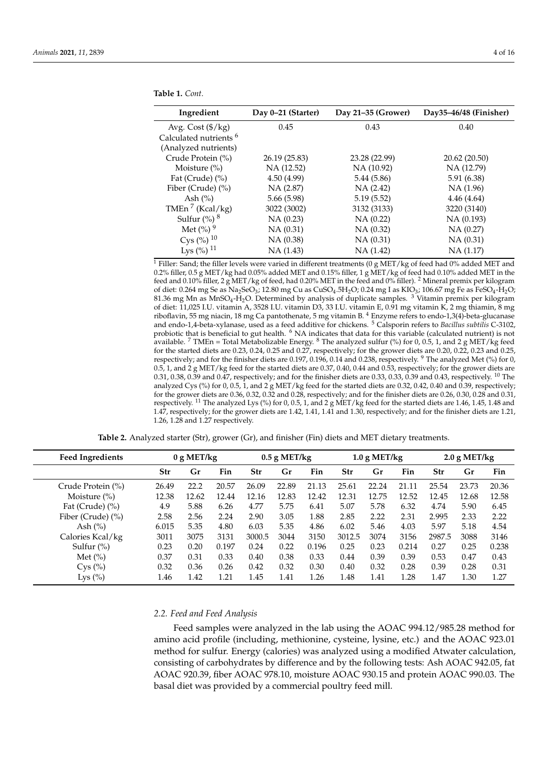| Ingredient                        | Day 0-21 (Starter) | Day 21-35 (Grower) | Day35-46/48 (Finisher) |
|-----------------------------------|--------------------|--------------------|------------------------|
| Avg. Cost (\$/kg)                 | 0.45               | 0.43               | 0.40                   |
| Calculated nutrients <sup>6</sup> |                    |                    |                        |
| (Analyzed nutrients)              |                    |                    |                        |
| Crude Protein (%)                 | 26.19 (25.83)      | 23.28 (22.99)      | 20.62 (20.50)          |
| Moisture $(\% )$                  | NA (12.52)         | NA (10.92)         | NA (12.79)             |
| Fat (Crude) $(\% )$               | 4.50(4.99)         | 5.44(5.86)         | 5.91 (6.38)            |
| Fiber (Crude) (%)                 | NA (2.87)          | NA(2.42)           | NA (1.96)              |
| Ash $(\%)$                        | 5.66 (5.98)        | 5.19(5.52)         | 4.46(4.64)             |
| TMEn <sup>7</sup> (Kcal/kg)       | 3022 (3002)        | 3132 (3133)        | 3220 (3140)            |
| Sulfur $\left(\% \right)$ 8       | NA(0.23)           | NA(0.22)           | NA (0.193)             |
| Met $(%)$ <sup>9</sup>            | NA(0.31)           | NA(0.32)           | NA (0.27)              |
| Cys $(\%)^{10}$                   | NA(0.38)           | NA(0.31)           | NA(0.31)               |
| Lys $(\%)^{11}$                   | NA (1.43)          | NA(1.42)           | NA (1.17)              |

**Table 1.** *Cont.*

<sup>1</sup> Filler: Sand; the filler levels were varied in different treatments (0 g MET/kg of feed had 0% added MET and 0.2% filler, 0.5 g MET/kg had 0.05% added MET and 0.15% filler, 1 g MET/kg of feed had 0.10% added MET in the feed and 0.10% filler, 2 g MET/kg of feed, had 0.20% MET in the feed and 0% filler). <sup>2</sup> Mineral premix per kilogram of diet: 0.264 mg Se as Na<sub>2</sub>SeO<sub>3</sub>; 12.80 mg Cu as CuSO<sub>4</sub>.5H<sub>2</sub>O; 0.24 mg I as KIO<sub>3</sub>; 106.67 mg Fe as FeSO<sub>4</sub>-H<sub>2</sub>O; 81.36 mg Mn as MnSO4-H2O. Determined by analysis of duplicate samples. <sup>3</sup> Vitamin premix per kilogram of diet: 11,025 I.U. vitamin A, 3528 I.U. vitamin D3, 33 I.U. vitamin E, 0.91 mg vitamin K, 2 mg thiamin, 8 mg riboflavin, 55 mg niacin, 18 mg Ca pantothenate, 5 mg vitamin B. <sup>4</sup> Enzyme refers to endo-1,3(4)-beta-glucanase and endo-1,4-beta-xylanase, used as a feed additive for chickens. <sup>5</sup> Calsporin refers to *Bacillus subtilis* C-3102, probiotic that is beneficial to gut health. <sup>6</sup> NA indicates that data for this variable (calculated nutrient) is not available. <sup>7</sup> TMEn = Total Metabolizable Energy. <sup>8</sup> The analyzed sulfur (%) for 0, 0.5, 1, and 2 g MET/kg feed for the started diets are 0.23, 0.24, 0.25 and 0.27, respectively; for the grower diets are 0.20, 0.22, 0.23 and 0.25, respectively; and for the finisher diets are 0.197, 0.196, 0.14 and 0.238, respectively. <sup>9</sup> The analyzed Met (%) for 0, 0.5, 1, and 2 g MET/kg feed for the started diets are 0.37, 0.40, 0.44 and 0.53, respectively; for the grower diets are 0.31, 0.38, 0.39 and 0.47, respectively; and for the finisher diets are 0.33, 0.33, 0.39 and 0.43, respectively. <sup>10</sup> The analyzed Cys (%) for 0, 0.5, 1, and 2 g MET/kg feed for the started diets are 0.32, 0.42, 0.40 and 0.39, respectively; for the grower diets are 0.36, 0.32, 0.32 and 0.28, respectively; and for the finisher diets are 0.26, 0.30, 0.28 and 0.31, respectively. <sup>11</sup> The analyzed Lys (%) for 0, 0.5, 1, and 2 g MET/kg feed for the started diets are 1.46, 1.45, 1.48 and 1.47, respectively; for the grower diets are 1.42, 1.41, 1.41 and 1.30, respectively; and for the finisher diets are 1.21, 1.26, 1.28 and 1.27 respectively.

**Table 2.** Analyzed starter (Str), grower (Gr), and finisher (Fin) diets and MET dietary treatments.

<span id="page-3-0"></span>

| <b>Feed Ingredients</b> | 0 g MET/kg |               |       |        | $0.5$ g MET/kg<br>$1.0$ g MET/kg |       |            |               | $2.0$ g MET/kg |        |       |       |
|-------------------------|------------|---------------|-------|--------|----------------------------------|-------|------------|---------------|----------------|--------|-------|-------|
|                         | Str        | $\mathbf{Gr}$ | Fin   | Str    | Gr                               | Fin   | <b>Str</b> | $\mathbf{Gr}$ | Fin            | Str    | Gr    | Fin   |
| Crude Protein (%)       | 26.49      | 22.2          | 20.57 | 26.09  | 22.89                            | 21.13 | 25.61      | 22.24         | 21.11          | 25.54  | 23.73 | 20.36 |
| Moisture $(\%)$         | 12.38      | 12.62         | 12.44 | 12.16  | 12.83                            | 12.42 | 12.31      | 12.75         | 12.52          | 12.45  | 12.68 | 12.58 |
| Fat (Crude) $(\% )$     | 4.9        | 5.88          | 6.26  | 4.77   | 5.75                             | 6.41  | 5.07       | 5.78          | 6.32           | 4.74   | 5.90  | 6.45  |
| Fiber (Crude) (%)       | 2.58       | 2.56          | 2.24  | 2.90   | 3.05                             | 1.88  | 2.85       | 2.22          | 2.31           | 2.995  | 2.33  | 2.22  |
| Ash $(\%)$              | 6.015      | 5.35          | 4.80  | 6.03   | 5.35                             | 4.86  | 6.02       | 5.46          | 4.03           | 5.97   | 5.18  | 4.54  |
| Calories Kcal/kg        | 3011       | 3075          | 3131  | 3000.5 | 3044                             | 3150  | 3012.5     | 3074          | 3156           | 2987.5 | 3088  | 3146  |
| Sulfur $(\%)$           | 0.23       | 0.20          | 0.197 | 0.24   | 0.22                             | 0.196 | 0.25       | 0.23          | 0.214          | 0.27   | 0.25  | 0.238 |
| Met $(\% )$             | 0.37       | 0.31          | 0.33  | 0.40   | 0.38                             | 0.33  | 0.44       | 0.39          | 0.39           | 0.53   | 0.47  | 0.43  |
| Cys (%)                 | 0.32       | 0.36          | 0.26  | 0.42   | 0.32                             | 0.30  | 0.40       | 0.32          | 0.28           | 0.39   | 0.28  | 0.31  |
| Lys $(\% )$             | 1.46       | 1.42          | 1.21  | 1.45   | 1.41                             | 1.26  | 1.48       | 1.41          | 1.28           | 1.47   | 1.30  | 1.27  |

#### *2.2. Feed and Feed Analysis*

Feed samples were analyzed in the lab using the AOAC 994.12/985.28 method for amino acid profile (including, methionine, cysteine, lysine, etc.) and the AOAC 923.01 method for sulfur. Energy (calories) was analyzed using a modified Atwater calculation, consisting of carbohydrates by difference and by the following tests: Ash AOAC 942.05, fat AOAC 920.39, fiber AOAC 978.10, moisture AOAC 930.15 and protein AOAC 990.03. The basal diet was provided by a commercial poultry feed mill.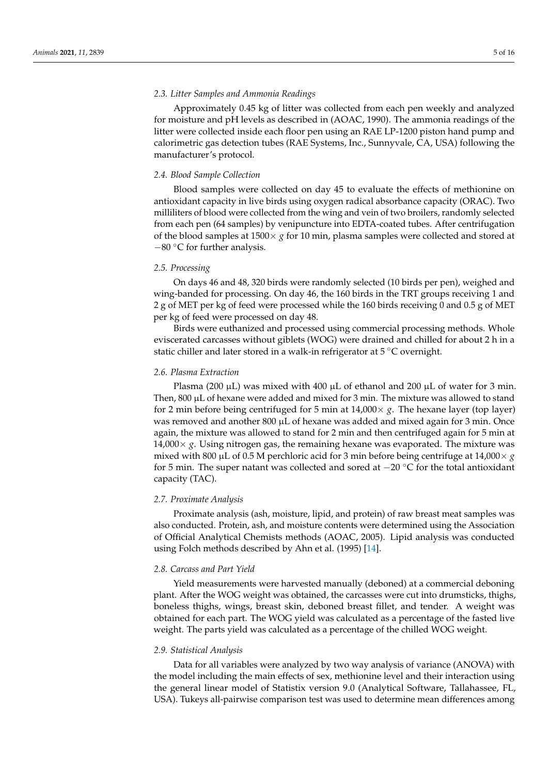#### *2.3. Litter Samples and Ammonia Readings*

Approximately 0.45 kg of litter was collected from each pen weekly and analyzed for moisture and pH levels as described in (AOAC, 1990). The ammonia readings of the litter were collected inside each floor pen using an RAE LP-1200 piston hand pump and calorimetric gas detection tubes (RAE Systems, Inc., Sunnyvale, CA, USA) following the manufacturer's protocol.

## *2.4. Blood Sample Collection*

Blood samples were collected on day 45 to evaluate the effects of methionine on antioxidant capacity in live birds using oxygen radical absorbance capacity (ORAC). Two milliliters of blood were collected from the wing and vein of two broilers, randomly selected from each pen (64 samples) by venipuncture into EDTA-coated tubes. After centrifugation of the blood samples at 1500× *g* for 10 min, plasma samples were collected and stored at −80 ◦C for further analysis.

## *2.5. Processing*

On days 46 and 48, 320 birds were randomly selected (10 birds per pen), weighed and wing-banded for processing. On day 46, the 160 birds in the TRT groups receiving 1 and 2 g of MET per kg of feed were processed while the 160 birds receiving 0 and 0.5 g of MET per kg of feed were processed on day 48.

Birds were euthanized and processed using commercial processing methods. Whole eviscerated carcasses without giblets (WOG) were drained and chilled for about 2 h in a static chiller and later stored in a walk-in refrigerator at 5 ◦C overnight.

## *2.6. Plasma Extraction*

Plasma (200  $\mu$ L) was mixed with 400  $\mu$ L of ethanol and 200  $\mu$ L of water for 3 min. Then,  $800 \mu L$  of hexane were added and mixed for 3 min. The mixture was allowed to stand for 2 min before being centrifuged for 5 min at  $14,000 \times g$ . The hexane layer (top layer) was removed and another 800  $\mu$ L of hexane was added and mixed again for 3 min. Once again, the mixture was allowed to stand for 2 min and then centrifuged again for 5 min at  $14,000\times g$ . Using nitrogen gas, the remaining hexane was evaporated. The mixture was mixed with 800  $\mu$ L of 0.5 M perchloric acid for 3 min before being centrifuge at 14,000  $\times$  *g* for 5 min. The super natant was collected and sored at −20 ◦C for the total antioxidant capacity (TAC).

#### *2.7. Proximate Analysis*

Proximate analysis (ash, moisture, lipid, and protein) of raw breast meat samples was also conducted. Protein, ash, and moisture contents were determined using the Association of Official Analytical Chemists methods (AOAC, 2005). Lipid analysis was conducted using Folch methods described by Ahn et al. (1995) [\[14\]](#page-13-13).

## *2.8. Carcass and Part Yield*

Yield measurements were harvested manually (deboned) at a commercial deboning plant. After the WOG weight was obtained, the carcasses were cut into drumsticks, thighs, boneless thighs, wings, breast skin, deboned breast fillet, and tender. A weight was obtained for each part. The WOG yield was calculated as a percentage of the fasted live weight. The parts yield was calculated as a percentage of the chilled WOG weight.

## *2.9. Statistical Analysis*

Data for all variables were analyzed by two way analysis of variance (ANOVA) with the model including the main effects of sex, methionine level and their interaction using the general linear model of Statistix version 9.0 (Analytical Software, Tallahassee, FL, USA). Tukeys all-pairwise comparison test was used to determine mean differences among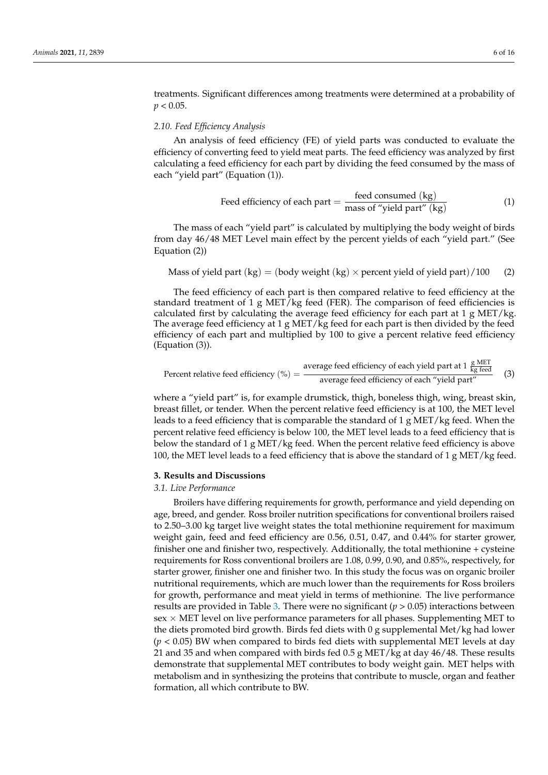treatments. Significant differences among treatments were determined at a probability of  $p < 0.05$ .

## <span id="page-5-0"></span>*2.10. Feed Efficiency Analysis*

An analysis of feed efficiency (FE) of yield parts was conducted to evaluate the efficiency of converting feed to yield meat parts. The feed efficiency was analyzed by first calculating a feed efficiency for each part by dividing the feed consumed by the mass of each "yield part" (Equation (1)).

$$
Head efficiency of each part = \frac{feed\ consumed\ (kg)}{\text{mass of "yield part" (kg)}}\tag{1}
$$

The mass of each "yield part" is calculated by multiplying the body weight of birds from day 46/48 MET Level main effect by the percent yields of each "yield part." (See Equation (2))

Mass of yield part (kg) = (body weight (kg) × percent yield of yield part)/100 (2)

The feed efficiency of each part is then compared relative to feed efficiency at the standard treatment of 1 g MET/kg feed (FER). The comparison of feed efficiencies is calculated first by calculating the average feed efficiency for each part at 1 g MET/kg. The average feed efficiency at 1 g MET/kg feed for each part is then divided by the feed efficiency of each part and multiplied by 100 to give a percent relative feed efficiency (Equation (3)).

Percent relative feed efficiency (%) = average feed efficiency of each yield part at 1 
$$
\frac{g \text{ MET}}{kg \text{ feed}}
$$
 (3)

where a "yield part" is, for example drumstick, thigh, boneless thigh, wing, breast skin, breast fillet, or tender. When the percent relative feed efficiency is at 100, the MET level leads to a feed efficiency that is comparable the standard of 1 g MET/kg feed. When the percent relative feed efficiency is below 100, the MET level leads to a feed efficiency that is below the standard of 1 g MET/kg feed. When the percent relative feed efficiency is above 100, the MET level leads to a feed efficiency that is above the standard of 1 g MET/kg feed.

### **3. Results and Discussions**

#### *3.1. Live Performance*

Broilers have differing requirements for growth, performance and yield depending on age, breed, and gender. Ross broiler nutrition specifications for conventional broilers raised to 2.50–3.00 kg target live weight states the total methionine requirement for maximum weight gain, feed and feed efficiency are 0.56, 0.51, 0.47, and 0.44% for starter grower, finisher one and finisher two, respectively. Additionally, the total methionine + cysteine requirements for Ross conventional broilers are 1.08, 0.99, 0.90, and 0.85%, respectively, for starter grower, finisher one and finisher two. In this study the focus was on organic broiler nutritional requirements, which are much lower than the requirements for Ross broilers for growth, performance and meat yield in terms of methionine. The live performance results are provided in Table [3.](#page-6-0) There were no significant  $(p > 0.05)$  interactions between  $sex \times MET$  level on live performance parameters for all phases. Supplementing MET to the diets promoted bird growth. Birds fed diets with 0 g supplemental Met/kg had lower (*p* < 0.05) BW when compared to birds fed diets with supplemental MET levels at day 21 and 35 and when compared with birds fed  $0.5$  g MET/kg at day 46/48. These results demonstrate that supplemental MET contributes to body weight gain. MET helps with metabolism and in synthesizing the proteins that contribute to muscle, organ and feather formation, all which contribute to BW.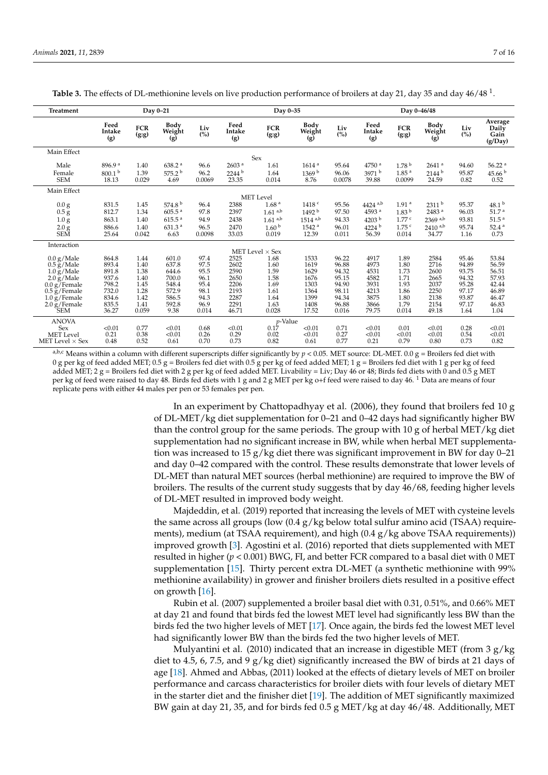| <b>Treatment</b>                          | Day 0-21                    |                     |                            |                |                            |                        | Day 0-35                     |                 |                       | Day 0-46/48                 |                            |                |                                     |
|-------------------------------------------|-----------------------------|---------------------|----------------------------|----------------|----------------------------|------------------------|------------------------------|-----------------|-----------------------|-----------------------------|----------------------------|----------------|-------------------------------------|
|                                           | Feed<br>Intake<br>(g)       | <b>FCR</b><br>(g:g) | Body<br>Weight<br>(g)      | Liv<br>(%)     | Feed<br>Intake<br>(g)      | <b>FCR</b><br>(g:g)    | <b>Body</b><br>Weight<br>(g) | Liv<br>(%)      | Feed<br>Intake<br>(g) | <b>FCR</b><br>(g:g)         | Body<br>Weight<br>(g)      | Liv<br>(%)     | Average<br>Daily<br>Gain<br>(g/Day) |
| Main Effect                               |                             |                     |                            |                |                            |                        |                              |                 |                       |                             |                            |                |                                     |
|                                           |                             |                     |                            |                |                            | Sex                    |                              |                 |                       |                             |                            |                |                                     |
| Male                                      | 896.9 <sup>a</sup>          | 1.40                | 638.2 <sup>a</sup>         | 96.6           | 2603 <sup>a</sup>          | 1.61                   | 1614 <sup>a</sup>            | 95.64           | 4750 <sup>a</sup>     | 1.78 <sup>b</sup>           | $2641$ <sup>a</sup>        | 94.60          | 56.22 <sup>a</sup>                  |
| Female<br><b>SEM</b>                      | 800.1 <sup>b</sup><br>18.13 | 1.39<br>0.029       | 575.2 <sup>b</sup><br>4.69 | 96.2<br>0.0069 | 2244 <sup>b</sup><br>23.35 | 1.64<br>0.014          | 1369 <sup>b</sup><br>8.76    | 96.06<br>0.0078 | 3971 b<br>39.88       | 1.85 <sup>a</sup><br>0.0099 | 2144 <sup>b</sup><br>24.59 | 95.87<br>0.82  | 45.66 <sup>b</sup><br>0.52          |
|                                           |                             |                     |                            |                |                            |                        |                              |                 |                       |                             |                            |                |                                     |
| Main Effect                               |                             |                     |                            |                |                            |                        |                              |                 |                       |                             |                            |                |                                     |
|                                           |                             |                     |                            |                |                            | <b>MET</b> Level       |                              |                 |                       |                             |                            |                |                                     |
| 0.0 <sub>g</sub>                          | 831.5                       | 1.45                | 574.8 $^{\rm b}$           | 96.4           | 2388                       | 1.68 <sup>a</sup>      | 1418 <sup>c</sup>            | 95.56           | $4424$ <sup>a,b</sup> | 1.91 <sup>a</sup>           | 2311 <sup>b</sup>          | 95.37          | 48.1 <sup>b</sup>                   |
| 0.5 g                                     | 812.7                       | 1.34                | $605.5$ <sup>a</sup>       | 97.8           | 2397                       | $1.61^{a,b}$           | 1492 <sup>b</sup>            | 97.50           | 4593 <sup>a</sup>     | 1.83 <sup>b</sup>           | 2483 <sup>a</sup>          | 96.03          | 51.7 <sup>a</sup>                   |
| 1.0 <sub>g</sub>                          | 863.1                       | 1.40                | 615.5 <sup>a</sup>         | 94.9           | 2438                       | $1.61^{a,b}$           | $1514$ <sup>a,b</sup>        | 94.33           | 4203 <sup>b</sup>     | 1.77c                       | $2369$ <sup>a,b</sup>      | 93.81          | 51.5 <sup>a</sup>                   |
| 2.0 g                                     | 886.6                       | 1.40                | 631.3 <sup>a</sup>         | 96.5           | 2470                       | 1.60 <sup>b</sup>      | 1542 <sup>a</sup>            | 96.01           | 4224 <sup>b</sup>     | $1.75$ <sup>c</sup>         | $2410^{a,b}$               | 95.74          | 52.4 <sup>a</sup>                   |
| <b>SEM</b>                                | 25.64                       | 0.042               | 6.63                       | 0.0098         | 33.03                      | 0.019                  | 12.39                        | 0.011           | 56.39                 | 0.014                       | 34.77                      | 1.16           | 0.73                                |
| Interaction                               |                             |                     |                            |                |                            |                        |                              |                 |                       |                             |                            |                |                                     |
|                                           |                             |                     |                            |                |                            | MET Level $\times$ Sex |                              |                 |                       |                             |                            |                |                                     |
| $0.0$ g/Male                              | 864.8                       | 1.44                | 601.0                      | 97.4           | 2525                       | 1.68                   | 1533                         | 96.22           | 4917                  | 1.89                        | 2584                       | 95.46          | 53.84                               |
| $0.5$ g/Male                              | 893.4                       | 1.40                | 637.8                      | 97.5           | 2602                       | 1.60                   | 1619                         | 96.88           | 4973                  | 1.80                        | 2716                       | 94.89          | 56.59                               |
| $1.0 \text{ g}/\text{Male}$               | 891.8                       | 1.38                | 644.6                      | 95.5           | 2590                       | 1.59                   | 1629                         | 94.32           | 4531                  | 1.73                        | 2600                       | 93.75          | 56.51                               |
| 2.0 g/Male                                | 937.6                       | 1.40<br>1.45        | 700.0<br>548.4             | 96.1<br>95.4   | 2650<br>2206               | 1.58                   | 1676<br>1303                 | 95.15<br>94.90  | 4582<br>3931          | 1.71<br>1.93                | 2665<br>2037               | 94.32<br>95.28 | 57.93<br>42.44                      |
| $0.0 g/$ Female<br>$0.5 \text{ g/Female}$ | 798.2<br>732.0              | 1.28                | 572.9                      | 98.1           | 2193                       | 1.69<br>1.61           | 1364                         | 98.11           | 4213                  | 1.86                        | 2250                       | 97.17          | 46.89                               |
| $1.0 \text{ g}/\text{Female}$             | 834.6                       | 1.42                | 586.5                      | 94.3           | 2287                       | 1.64                   | 1399                         | 94.34           | 3875                  | 1.80                        | 2138                       | 93.87          | 46.47                               |
| $2.0 g/$ Female                           | 835.5                       | 1.41                | 592.8                      | 96.9           | 2291                       | 1.63                   | 1408                         | 96.88           | 3866                  | 1.79                        | 2154                       | 97.17          | 46.83                               |
| <b>SEM</b>                                | 36.27                       | 0.059               | 9.38                       | 0.014          | 46.71                      | 0.028                  | 17.52                        | 0.016           | 79.75                 | 0.014                       | 49.18                      | 1.64           | 1.04                                |
| <b>ANOVA</b>                              |                             |                     |                            |                |                            | <i>p</i> -Value        |                              |                 |                       |                             |                            |                |                                     |
| Sex                                       | < 0.01                      | 0.77                | < 0.01                     | 0.68           | < 0.01                     | 0.17                   | < 0.01                       | 0.71            | < 0.01                | 0.01                        | < 0.01                     | 0.28           | < 0.01                              |
| <b>MET</b> Level                          | 0.21                        | 0.38                | < 0.01                     | 0.26           | 0.29                       | 0.02                   | < 0.01                       | 0.27            | < 0.01                | < 0.01                      | < 0.01                     | 0.54           | < 0.01                              |
| MET Level $\times$ Sex                    | 0.48                        | 0.52                | 0.61                       | 0.70           | 0.73                       | 0.82                   | 0.61                         | 0.77            | 0.21                  | 0.79                        | 0.80                       | 0.73           | 0.82                                |

<span id="page-6-0"></span>Table 3. The effects of DL-methionine levels on live production performance of broilers at day 21, day 35 and day 46/48<sup>1</sup>.

a,b,c Means within a column with different superscripts differ significantly by  $p < 0.05$ . MET source: DL-MET. 0.0 g = Broilers fed diet with 0 g per kg of feed added MET; 0.5 g = Broilers fed diet with 0.5 g per kg of feed added MET; 1 g = Broilers fed diet with 1 g per kg of feed added MET;  $2 g =$  Broilers fed diet with  $2 g$  per kg of feed added MET. Livability = Liv; Day 46 or 48; Birds fed diets with 0 and 0.5 g MET per kg of feed were raised to day 48. Birds fed diets with 1 g and 2 g MET per kg o+f feed were raised to day 46. <sup>1</sup> Data are means of four replicate pens with either 44 males per pen or 53 females per pen.

> In an experiment by Chattopadhyay et al. (2006), they found that broilers fed 10 g of DL-MET/kg diet supplementation for 0–21 and 0–42 days had significantly higher BW than the control group for the same periods. The group with  $10 g$  of herbal MET/kg diet supplementation had no significant increase in BW, while when herbal MET supplementation was increased to 15 g/kg diet there was significant improvement in BW for day  $0-21$ and day 0–42 compared with the control. These results demonstrate that lower levels of DL-MET than natural MET sources (herbal methionine) are required to improve the BW of broilers. The results of the current study suggests that by day 46/68, feeding higher levels of DL-MET resulted in improved body weight.

> Majdeddin, et al. (2019) reported that increasing the levels of MET with cysteine levels the same across all groups (low  $(0.4 g/kg$  below total sulfur amino acid (TSAA) requirements), medium (at TSAA requirement), and high  $(0.4 \text{ g/kg}$  above TSAA requirements)) improved growth [\[3\]](#page-13-2). Agostini et al. (2016) reported that diets supplemented with MET resulted in higher (*p* < 0.001) BWG, FI, and better FCR compared to a basal diet with 0 MET supplementation [\[15\]](#page-13-14). Thirty percent extra DL-MET (a synthetic methionine with 99% methionine availability) in grower and finisher broilers diets resulted in a positive effect on growth [\[16\]](#page-14-0).

> Rubin et al. (2007) supplemented a broiler basal diet with 0.31, 0.51%, and 0.66% MET at day 21 and found that birds fed the lowest MET level had significantly less BW than the birds fed the two higher levels of MET [\[17\]](#page-14-1). Once again, the birds fed the lowest MET level had significantly lower BW than the birds fed the two higher levels of MET.

> Mulyantini et al. (2010) indicated that an increase in digestible MET (from  $3 g/kg$ diet to 4.5, 6, 7.5, and 9 g/kg diet) significantly increased the BW of birds at 21 days of age [\[18\]](#page-14-2). Ahmed and Abbas, (2011) looked at the effects of dietary levels of MET on broiler performance and carcass characteristics for broiler diets with four levels of dietary MET in the starter diet and the finisher diet [\[19\]](#page-14-3). The addition of MET significantly maximized BW gain at day 21, 35, and for birds fed 0.5 g MET/kg at day 46/48. Additionally, MET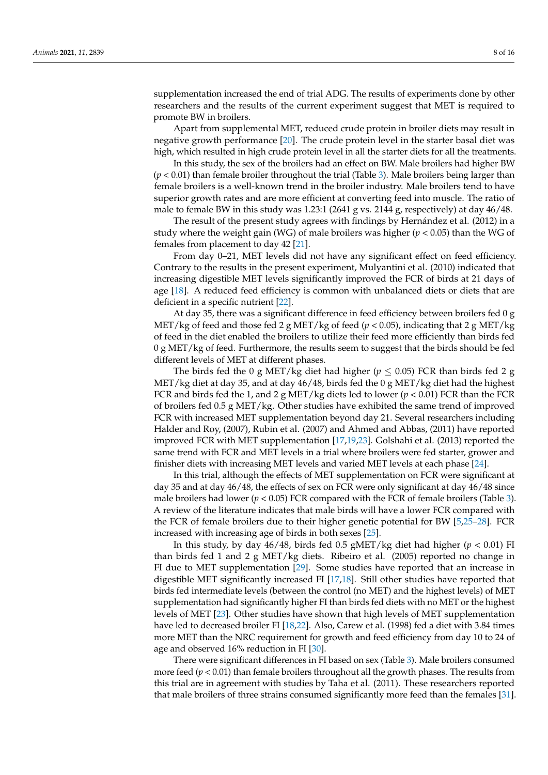supplementation increased the end of trial ADG. The results of experiments done by other researchers and the results of the current experiment suggest that MET is required to promote BW in broilers.

Apart from supplemental MET, reduced crude protein in broiler diets may result in negative growth performance [\[20\]](#page-14-4). The crude protein level in the starter basal diet was high, which resulted in high crude protein level in all the starter diets for all the treatments.

In this study, the sex of the broilers had an effect on BW. Male broilers had higher BW (*p* < 0.01) than female broiler throughout the trial (Table [3\)](#page-6-0). Male broilers being larger than female broilers is a well-known trend in the broiler industry. Male broilers tend to have superior growth rates and are more efficient at converting feed into muscle. The ratio of male to female BW in this study was 1.23:1 (2641 g vs. 2144 g, respectively) at day 46/48.

The result of the present study agrees with findings by Hernández et al. (2012) in a study where the weight gain (WG) of male broilers was higher (*p* < 0.05) than the WG of females from placement to day 42 [\[21\]](#page-14-5).

From day 0–21, MET levels did not have any significant effect on feed efficiency. Contrary to the results in the present experiment, Mulyantini et al. (2010) indicated that increasing digestible MET levels significantly improved the FCR of birds at 21 days of age [\[18\]](#page-14-2). A reduced feed efficiency is common with unbalanced diets or diets that are deficient in a specific nutrient [\[22\]](#page-14-6).

At day 35, there was a significant difference in feed efficiency between broilers fed 0 g MET/kg of feed and those fed 2 g MET/kg of feed ( $p < 0.05$ ), indicating that 2 g MET/kg of feed in the diet enabled the broilers to utilize their feed more efficiently than birds fed  $0 g MET/kg$  of feed. Furthermore, the results seem to suggest that the birds should be fed different levels of MET at different phases.

The birds fed the 0 g MET/kg diet had higher ( $p \le 0.05$ ) FCR than birds fed 2 g MET/kg diet at day 35, and at day  $46/48$ , birds fed the 0 g MET/kg diet had the highest FCR and birds fed the 1, and 2 g MET/kg diets led to lower (*p* < 0.01) FCR than the FCR of broilers fed 0.5 g MET/kg. Other studies have exhibited the same trend of improved FCR with increased MET supplementation beyond day 21. Several researchers including Halder and Roy, (2007), Rubin et al. (2007) and Ahmed and Abbas, (2011) have reported improved FCR with MET supplementation [\[17](#page-14-1)[,19](#page-14-3)[,23\]](#page-14-7). Golshahi et al. (2013) reported the same trend with FCR and MET levels in a trial where broilers were fed starter, grower and finisher diets with increasing MET levels and varied MET levels at each phase [\[24\]](#page-14-8).

In this trial, although the effects of MET supplementation on FCR were significant at day 35 and at day 46/48, the effects of sex on FCR were only significant at day 46/48 since male broilers had lower ( $p < 0.05$ ) FCR compared with the FCR of female broilers (Table [3\)](#page-6-0). A review of the literature indicates that male birds will have a lower FCR compared with the FCR of female broilers due to their higher genetic potential for BW [\[5,](#page-13-4)[25–](#page-14-9)[28\]](#page-14-10). FCR increased with increasing age of birds in both sexes [\[25\]](#page-14-9).

In this study, by day 46/48, birds fed 0.5 gMET/kg diet had higher (*p* < 0.01) FI than birds fed 1 and 2 g MET/kg diets. Ribeiro et al. (2005) reported no change in FI due to MET supplementation [\[29\]](#page-14-11). Some studies have reported that an increase in digestible MET significantly increased FI [\[17,](#page-14-1)[18\]](#page-14-2). Still other studies have reported that birds fed intermediate levels (between the control (no MET) and the highest levels) of MET supplementation had significantly higher FI than birds fed diets with no MET or the highest levels of MET [\[23\]](#page-14-7). Other studies have shown that high levels of MET supplementation have led to decreased broiler FI [\[18](#page-14-2)[,22\]](#page-14-6). Also, Carew et al. (1998) fed a diet with 3.84 times more MET than the NRC requirement for growth and feed efficiency from day 10 to 24 of age and observed 16% reduction in FI [\[30\]](#page-14-12).

There were significant differences in FI based on sex (Table [3\)](#page-6-0). Male broilers consumed more feed  $(p < 0.01)$  than female broilers throughout all the growth phases. The results from this trial are in agreement with studies by Taha et al. (2011). These researchers reported that male broilers of three strains consumed significantly more feed than the females [\[31\]](#page-14-13).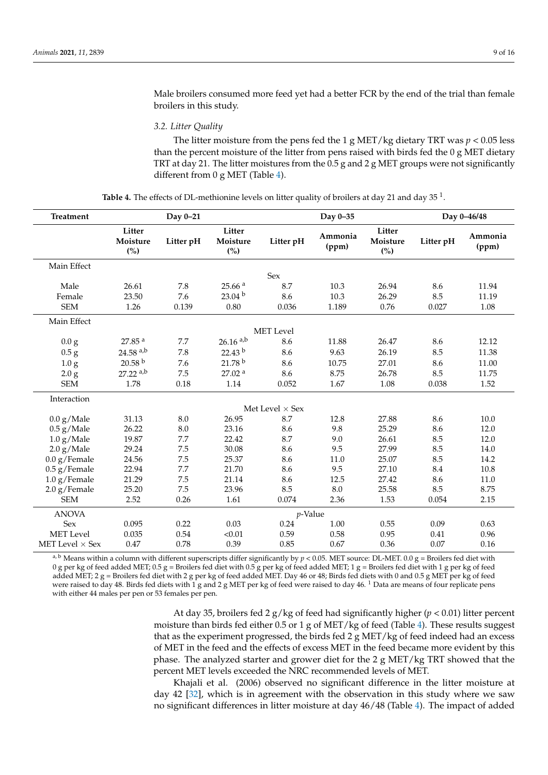Male broilers consumed more feed yet had a better FCR by the end of the trial than female broilers in this study.

*3.2. Litter Quality*

The litter moisture from the pens fed the 1 g MET/kg dietary TRT was  $p < 0.05$  less than the percent moisture of the litter from pens raised with birds fed the 0 g MET dietary TRT at day 21. The litter moistures from the  $0.5$  g and 2 g MET groups were not significantly different from 0 g MET (Table [4\)](#page-8-0).

**Table 4.** The effects of DL-methionine levels on litter quality of broilers at day 21 and day 35  $^1$ .

<span id="page-8-0"></span>

| <b>Treatment</b>       |                           | Day 0-21  |                           |                        | Day 0-35         |                           | Day 0-46/48 |                  |  |
|------------------------|---------------------------|-----------|---------------------------|------------------------|------------------|---------------------------|-------------|------------------|--|
|                        | Litter<br>Moisture<br>(%) | Litter pH | Litter<br>Moisture<br>(%) | Litter pH              | Ammonia<br>(ppm) | Litter<br>Moisture<br>(%) | Litter pH   | Ammonia<br>(ppm) |  |
| Main Effect            |                           |           |                           |                        |                  |                           |             |                  |  |
|                        |                           |           |                           | Sex                    |                  |                           |             |                  |  |
| Male                   | 26.61                     | 7.8       | 25.66 <sup>a</sup>        | 8.7                    | 10.3             | 26.94                     | 8.6         | 11.94            |  |
| Female                 | 23.50                     | 7.6       | 23.04 <sup>b</sup>        | 8.6                    | 10.3             | 26.29                     | 8.5         | 11.19            |  |
| <b>SEM</b>             | 1.26                      | 0.139     | 0.80                      | 0.036                  | 1.189            | 0.76                      | 0.027       | 1.08             |  |
| Main Effect            |                           |           |                           |                        |                  |                           |             |                  |  |
|                        |                           |           |                           | <b>MET</b> Level       |                  |                           |             |                  |  |
| 0.0 g                  | 27.85 <sup>a</sup>        | 7.7       | $26.16$ <sup>a,b</sup>    | 8.6                    | 11.88            | 26.47                     | 8.6         | 12.12            |  |
| 0.5 g                  | $24.58$ <sup>a,b</sup>    | 7.8       | 22.43 <sup>b</sup>        | 8.6                    | 9.63             | 26.19                     | 8.5         | 11.38            |  |
| 1.0 <sub>g</sub>       | 20.58 <sup>b</sup>        | 7.6       | 21.78 <sup>b</sup>        | 8.6                    | 10.75            | 27.01                     | 8.6         | 11.00            |  |
| 2.0 g                  | $27.22$ <sup>a,b</sup>    | 7.5       | 27.02 <sup>a</sup>        | 8.6                    | 8.75             | 26.78                     | 8.5         | 11.75            |  |
| <b>SEM</b>             | 1.78                      | 0.18      | 1.14                      | 0.052                  | 1.67             | 1.08                      | 0.038       | 1.52             |  |
| Interaction            |                           |           |                           |                        |                  |                           |             |                  |  |
|                        |                           |           |                           | Met Level $\times$ Sex |                  |                           |             |                  |  |
| $0.0$ g/Male           | 31.13                     | 8.0       | 26.95                     | 8.7                    | 12.8             | 27.88                     | 8.6         | 10.0             |  |
| $0.5$ g/Male           | 26.22                     | 8.0       | 23.16                     | 8.6                    | 9.8              | 25.29                     | 8.6         | 12.0             |  |
| $1.0~{\rm g/Male}$     | 19.87                     | 7.7       | 22.42                     | 8.7                    | 9.0              | 26.61                     | 8.5         | 12.0             |  |
| 2.0 g/Male             | 29.24                     | 7.5       | 30.08                     | 8.6                    | 9.5              | 27.99                     | 8.5         | 14.0             |  |
| $0.0$ g/Female         | 24.56                     | 7.5       | 25.37                     | 8.6                    | 11.0             | 25.07                     | 8.5         | 14.2             |  |
| $0.5$ g/Female         | 22.94                     | 7.7       | 21.70                     | 8.6                    | 9.5              | 27.10                     | 8.4         | 10.8             |  |
| $1.0$ g/Female         | 21.29                     | 7.5       | 21.14                     | 8.6                    | 12.5             | 27.42                     | 8.6         | 11.0             |  |
| $2.0$ g/Female         | 25.20                     | 7.5       | 23.96                     | 8.5                    | 8.0              | 25.58                     | 8.5         | 8.75             |  |
| <b>SEM</b>             | 2.52                      | 0.26      | 1.61                      | 0.074                  | 2.36             | 1.53                      | 0.054       | 2.15             |  |
| <b>ANOVA</b>           |                           |           |                           | p-Value                |                  |                           |             |                  |  |
| <b>Sex</b>             | 0.095                     | 0.22      | 0.03                      | 0.24                   | 1.00             | 0.55                      | 0.09        | 0.63             |  |
| <b>MET</b> Level       | 0.035                     | 0.54      | < 0.01                    | 0.59                   | 0.58             | 0.95                      | 0.41        | 0.96             |  |
| MET Level $\times$ Sex | 0.47                      | 0.78      | 0.39                      | 0.85                   | 0.67             | 0.36                      | 0.07        | 0.16             |  |

<sup>a, b</sup> Means within a column with different superscripts differ significantly by  $p < 0.05$ . MET source: DL-MET. 0.0 g = Broilers fed diet with 0 g per kg of feed added MET; 0.5 g = Broilers fed diet with 0.5 g per kg of feed added MET; 1 g = Broilers fed diet with 1 g per kg of feed added MET; 2 g = Broilers fed diet with 2 g per kg of feed added MET. Day 46 or 48; Birds fed diets with 0 and 0.5 g MET per kg of feed were raised to day 48. Birds fed diets with 1 g and 2 g MET per kg of feed were raised to day 46. <sup>1</sup> Data are means of four replicate pens with either 44 males per pen or 53 females per pen.

> At day 35, broilers fed 2 g/kg of feed had significantly higher (*p* < 0.01) litter percent moisture than birds fed either 0.5 or 1 g of MET/kg of feed (Table [4\)](#page-8-0). These results suggest that as the experiment progressed, the birds fed 2 g MET/kg of feed indeed had an excess of MET in the feed and the effects of excess MET in the feed became more evident by this phase. The analyzed starter and grower diet for the  $2 g$  MET/kg TRT showed that the percent MET levels exceeded the NRC recommended levels of MET.

> Khajali et al. (2006) observed no significant difference in the litter moisture at day 42 [\[32\]](#page-14-14), which is in agreement with the observation in this study where we saw no significant differences in litter moisture at day 46/48 (Table [4\)](#page-8-0). The impact of added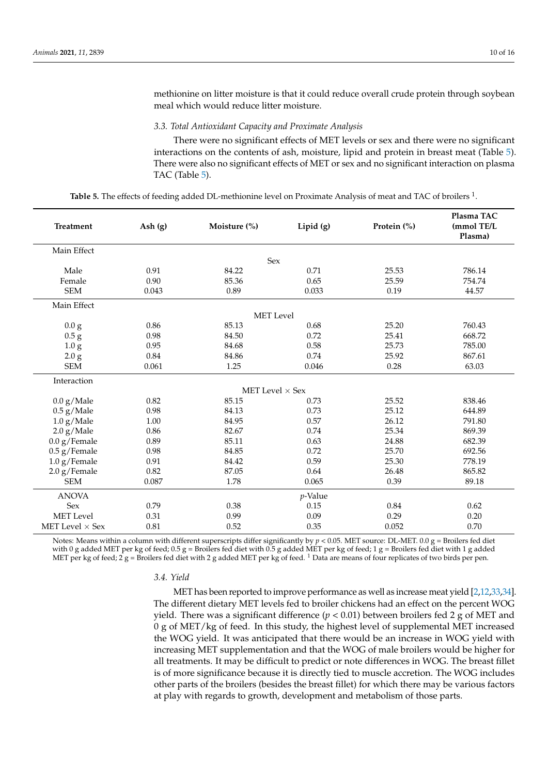methionine on litter moisture is that it could reduce overall crude protein through soybean meal which would reduce litter moisture.

#### *3.3. Total Antioxidant Capacity and Proximate Analysis*

There were no significant effects of MET levels or sex and there were no significant interactions on the contents of ash, moisture, lipid and protein in breast meat (Table [5\)](#page-9-0). There were also no significant effects of MET or sex and no significant interaction on plasma TAC (Table [5\)](#page-9-0).

<span id="page-9-0"></span>

| <b>Treatment</b>       | Ash $(g)$ | Moisture (%)           | Lipid (g)  | Protein (%) | Plasma TAC<br>(mmol TE/L<br>Plasma) |
|------------------------|-----------|------------------------|------------|-------------|-------------------------------------|
| Main Effect            |           |                        |            |             |                                     |
|                        |           | Sex                    |            |             |                                     |
| Male                   | 0.91      | 84.22                  | 0.71       | 25.53       | 786.14                              |
| Female                 | 0.90      | 85.36                  | 0.65       | 25.59       | 754.74                              |
| <b>SEM</b>             | 0.043     | 0.89                   | 0.033      | 0.19        | 44.57                               |
| Main Effect            |           |                        |            |             |                                     |
|                        |           | <b>MET</b> Level       |            |             |                                     |
| 0.0 <sub>g</sub>       | 0.86      | 85.13                  | 0.68       | 25.20       | 760.43                              |
| $0.5\,\mathrm g$       | 0.98      | 84.50                  | 0.72       | 25.41       | 668.72                              |
| 1.0 g                  | 0.95      | 84.68                  | 0.58       | 25.73       | 785.00                              |
| 2.0 g                  | 0.84      | 84.86                  | 0.74       | 25.92       | 867.61                              |
| <b>SEM</b>             | 0.061     | 1.25                   | 0.046      | 0.28        | 63.03                               |
| Interaction            |           |                        |            |             |                                     |
|                        |           | MET Level $\times$ Sex |            |             |                                     |
| 0.0 g/Male             | 0.82      | 85.15                  | 0.73       | 25.52       | 838.46                              |
| $0.5$ g/Male           | 0.98      | 84.13                  | 0.73       | 25.12       | 644.89                              |
| $1.0$ g/Male           | 1.00      | 84.95                  | 0.57       | 26.12       | 791.80                              |
| 2.0 g/Male             | 0.86      | 82.67                  | 0.74       | 25.34       | 869.39                              |
| $0.0$ g/Female         | 0.89      | 85.11                  | 0.63       | 24.88       | 682.39                              |
| $0.5$ g/Female         | 0.98      | 84.85                  | 0.72       | 25.70       | 692.56                              |
| $1.0$ g/Female         | 0.91      | 84.42                  | 0.59       | 25.30       | 778.19                              |
| 2.0 g/Female           | 0.82      | 87.05                  | 0.64       | 26.48       | 865.82                              |
| <b>SEM</b>             | 0.087     | 1.78                   | 0.065      | 0.39        | 89.18                               |
| <b>ANOVA</b>           |           |                        | $p$ -Value |             |                                     |
| <b>Sex</b>             | 0.79      | 0.38                   | 0.15       | 0.84        | 0.62                                |
| <b>MET</b> Level       | 0.31      | 0.99                   | 0.09       | 0.29        | 0.20                                |
| MET Level $\times$ Sex | 0.81      | 0.52                   | 0.35       | 0.052       | 0.70                                |

Table 5. The effects of feeding added DL-methionine level on Proximate Analysis of meat and TAC of broilers <sup>1</sup>.

Notes: Means within a column with different superscripts differ significantly by *p* < 0.05. MET source: DL-MET. 0.0 g = Broilers fed diet with 0 g added MET per kg of feed;  $0.5$  g = Broilers fed diet with 0.5 g added MET per kg of feed; 1 g = Broilers fed diet with 1 g added MET per kg of feed;  $2$  g = Broilers fed diet with 2 g added MET per kg of feed. <sup>1</sup> Data are means of four replicates of two birds per pen.

## *3.4. Yield*

MET has been reported to improve performance as well as increase meat yield [\[2,](#page-13-1)[12,](#page-13-11)[33,](#page-14-15)[34\]](#page-14-16). The different dietary MET levels fed to broiler chickens had an effect on the percent WOG yield. There was a significant difference ( $p < 0.01$ ) between broilers fed 2 g of MET and 0 g of MET/kg of feed. In this study, the highest level of supplemental MET increased the WOG yield. It was anticipated that there would be an increase in WOG yield with increasing MET supplementation and that the WOG of male broilers would be higher for all treatments. It may be difficult to predict or note differences in WOG. The breast fillet is of more significance because it is directly tied to muscle accretion. The WOG includes other parts of the broilers (besides the breast fillet) for which there may be various factors at play with regards to growth, development and metabolism of those parts.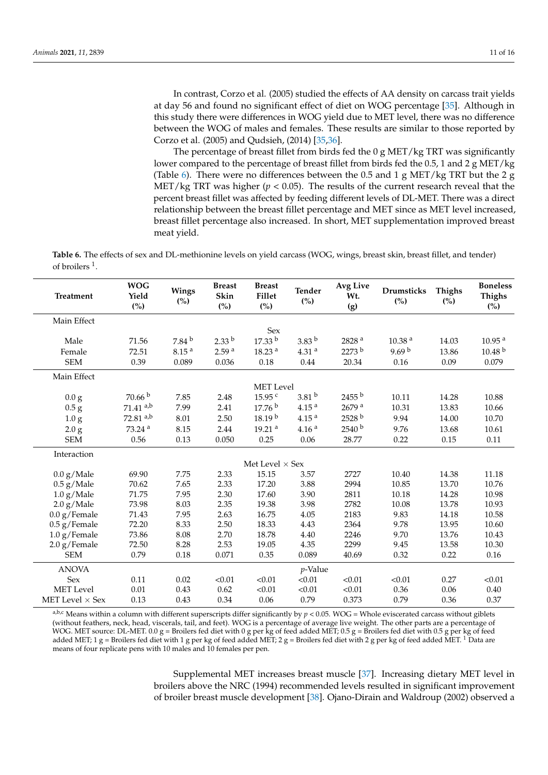In contrast, Corzo et al. (2005) studied the effects of AA density on carcass trait yields at day 56 and found no significant effect of diet on WOG percentage [\[35\]](#page-14-17). Although in this study there were differences in WOG yield due to MET level, there was no difference between the WOG of males and females. These results are similar to those reported by Corzo et al. (2005) and Qudsieh, (2014) [\[35](#page-14-17)[,36\]](#page-14-18).

The percentage of breast fillet from birds fed the  $0 g MET/kg TRT$  was significantly lower compared to the percentage of breast fillet from birds fed the 0.5, 1 and 2 g MET/kg (Table [6\)](#page-10-0). There were no differences between the 0.5 and 1 g MET/kg TRT but the 2 g MET/kg TRT was higher ( $p < 0.05$ ). The results of the current research reveal that the percent breast fillet was affected by feeding different levels of DL-MET. There was a direct relationship between the breast fillet percentage and MET since as MET level increased, breast fillet percentage also increased. In short, MET supplementation improved breast meat yield.

<span id="page-10-0"></span>**Table 6.** The effects of sex and DL-methionine levels on yield carcass (WOG, wings, breast skin, breast fillet, and tender) of broilers<sup>1</sup>.

| <b>Treatment</b>       | <b>WOG</b><br>Yield<br>(%) | Wings<br>(%)      | <b>Breast</b><br>Skin<br>(%) | <b>Breast</b><br>Fillet<br>(%) | <b>Tender</b><br>(%) | <b>Avg Live</b><br>Wt.<br>(g) | <b>Drumsticks</b><br>(%) | <b>Thighs</b><br>(%) | <b>Boneless</b><br><b>Thighs</b><br>(%) |
|------------------------|----------------------------|-------------------|------------------------------|--------------------------------|----------------------|-------------------------------|--------------------------|----------------------|-----------------------------------------|
| Main Effect            |                            |                   |                              |                                |                      |                               |                          |                      |                                         |
|                        |                            |                   |                              | Sex                            |                      |                               |                          |                      |                                         |
| Male                   | 71.56                      | 7.84 <sup>b</sup> | $2.33^{b}$                   | 17.33 <sup>b</sup>             | $3.83^{b}$           | 2828 <sup>a</sup>             | 10.38 <sup>a</sup>       | 14.03                | 10.95 <sup>a</sup>                      |
| Female                 | 72.51                      | 8.15 <sup>a</sup> | 2.59 <sup>a</sup>            | 18.23 <sup>a</sup>             | 4.31 <sup>a</sup>    | $2273^{\mathrm{b}}$           | 9.69 $^{\rm b}$          | 13.86                | 10.48 <sup>b</sup>                      |
| <b>SEM</b>             | 0.39                       | 0.089             | 0.036                        | 0.18                           | 0.44                 | 20.34                         | 0.16                     | 0.09                 | 0.079                                   |
| Main Effect            |                            |                   |                              |                                |                      |                               |                          |                      |                                         |
|                        |                            |                   |                              | <b>MET</b> Level               |                      |                               |                          |                      |                                         |
| 0.0 g                  | 70.66 <sup>b</sup>         | 7.85              | 2.48                         | 15.95 <sup>c</sup>             | 3.81 <sup>b</sup>    | $2455^{\,b}$                  | 10.11                    | 14.28                | 10.88                                   |
| 0.5 g                  | $71.41$ <sup>a,b</sup>     | 7.99              | 2.41                         | 17.76 <sup>b</sup>             | 4.15 <sup>a</sup>    | $2679$ <sup>a</sup>           | 10.31                    | 13.83                | 10.66                                   |
| 1.0 <sub>g</sub>       | $72.81$ <sup>a,b</sup>     | 8.01              | 2.50                         | 18.19 <sup>b</sup>             | 4.15 <sup>a</sup>    | 2528 b                        | 9.94                     | 14.00                | 10.70                                   |
| 2.0 g                  | 73.24 <sup>a</sup>         | 8.15              | 2.44                         | 19.21 <sup>a</sup>             | 4.16 <sup>a</sup>    | 2540 <sup>b</sup>             | 9.76                     | 13.68                | 10.61                                   |
| <b>SEM</b>             | 0.56                       | 0.13              | 0.050                        | 0.25                           | 0.06                 | 28.77                         | 0.22                     | 0.15                 | 0.11                                    |
| Interaction            |                            |                   |                              |                                |                      |                               |                          |                      |                                         |
|                        |                            |                   |                              | Met Level $\times$ Sex         |                      |                               |                          |                      |                                         |
| 0.0 g/Male             | 69.90                      | 7.75              | 2.33                         | 15.15                          | 3.57                 | 2727                          | 10.40                    | 14.38                | 11.18                                   |
| $0.5$ g/Male           | 70.62                      | 7.65              | 2.33                         | 17.20                          | 3.88                 | 2994                          | 10.85                    | 13.70                | 10.76                                   |
| 1.0 g/Male             | 71.75                      | 7.95              | 2.30                         | 17.60                          | 3.90                 | 2811                          | 10.18                    | 14.28                | 10.98                                   |
| 2.0 g/Male             | 73.98                      | 8.03              | 2.35                         | 19.38                          | 3.98                 | 2782                          | 10.08                    | 13.78                | 10.93                                   |
| $0.0 g/$ Female        | 71.43                      | 7.95              | 2.63                         | 16.75                          | 4.05                 | 2183                          | 9.83                     | 14.18                | 10.58                                   |
| $0.5$ g/Female         | 72.20                      | 8.33              | 2.50                         | 18.33                          | 4.43                 | 2364                          | 9.78                     | 13.95                | 10.60                                   |
| $1.0$ g/Female         | 73.86                      | 8.08              | 2.70                         | 18.78                          | 4.40                 | 2246                          | 9.70                     | 13.76                | 10.43                                   |
| 2.0 g/Female           | 72.50                      | 8.28              | 2.53                         | 19.05                          | 4.35                 | 2299                          | 9.45                     | 13.58                | 10.30                                   |
| <b>SEM</b>             | 0.79                       | 0.18              | 0.071                        | 0.35                           | 0.089                | 40.69                         | 0.32                     | 0.22                 | $0.16\,$                                |
| <b>ANOVA</b>           |                            |                   |                              |                                | p-Value              |                               |                          |                      |                                         |
| Sex                    | 0.11                       | 0.02              | < 0.01                       | < 0.01                         | < 0.01               | < 0.01                        | < 0.01                   | 0.27                 | < 0.01                                  |
| <b>MET</b> Level       | 0.01                       | 0.43              | 0.62                         | < 0.01                         | < 0.01               | < 0.01                        | 0.36                     | 0.06                 | 0.40                                    |
| MET Level $\times$ Sex | 0.13                       | 0.43              | 0.34                         | 0.06                           | 0.79                 | 0.373                         | 0.79                     | 0.36                 | 0.37                                    |

 $a,b,c$  Means within a column with different superscripts differ significantly by  $p < 0.05$ . WOG = Whole eviscerated carcass without giblets (without feathers, neck, head, viscerals, tail, and feet). WOG is a percentage of average live weight. The other parts are a percentage of WOG. MET source: DL-MET. 0.0 g = Broilers fed diet with 0 g per kg of feed added MET; 0.5 g = Broilers fed diet with 0.5 g per kg of feed added MET; 1 g = Broilers fed diet with 1 g per kg of feed added MET; 2 g = Broilers fed diet with 2 g per kg of feed added MET. <sup>1</sup> Data are means of four replicate pens with 10 males and 10 females per pen.

> Supplemental MET increases breast muscle [\[37\]](#page-14-19). Increasing dietary MET level in broilers above the NRC (1994) recommended levels resulted in significant improvement of broiler breast muscle development [\[38\]](#page-14-20). Ojano-Dirain and Waldroup (2002) observed a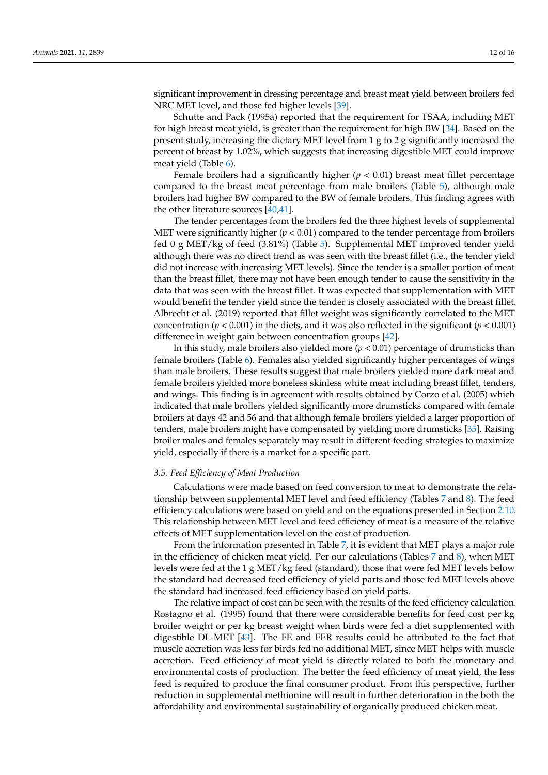significant improvement in dressing percentage and breast meat yield between broilers fed NRC MET level, and those fed higher levels [\[39\]](#page-14-21).

Schutte and Pack (1995a) reported that the requirement for TSAA, including MET for high breast meat yield, is greater than the requirement for high BW [\[34\]](#page-14-16). Based on the present study, increasing the dietary MET level from 1 g to 2 g significantly increased the percent of breast by 1.02%, which suggests that increasing digestible MET could improve meat yield (Table [6\)](#page-10-0).

Female broilers had a significantly higher  $(p < 0.01)$  breast meat fillet percentage compared to the breast meat percentage from male broilers (Table [5\)](#page-9-0), although male broilers had higher BW compared to the BW of female broilers. This finding agrees with the other literature sources [\[40](#page-14-22)[,41\]](#page-14-23).

The tender percentages from the broilers fed the three highest levels of supplemental MET were significantly higher (*p* < 0.01) compared to the tender percentage from broilers fed 0 g MET/kg of feed (3.81%) (Table [5\)](#page-9-0). Supplemental MET improved tender yield although there was no direct trend as was seen with the breast fillet (i.e., the tender yield did not increase with increasing MET levels). Since the tender is a smaller portion of meat than the breast fillet, there may not have been enough tender to cause the sensitivity in the data that was seen with the breast fillet. It was expected that supplementation with MET would benefit the tender yield since the tender is closely associated with the breast fillet. Albrecht et al. (2019) reported that fillet weight was significantly correlated to the MET concentration ( $p < 0.001$ ) in the diets, and it was also reflected in the significant ( $p < 0.001$ ) difference in weight gain between concentration groups [\[42\]](#page-15-0).

In this study, male broilers also yielded more  $(p < 0.01)$  percentage of drumsticks than female broilers (Table [6\)](#page-10-0). Females also yielded significantly higher percentages of wings than male broilers. These results suggest that male broilers yielded more dark meat and female broilers yielded more boneless skinless white meat including breast fillet, tenders, and wings. This finding is in agreement with results obtained by Corzo et al. (2005) which indicated that male broilers yielded significantly more drumsticks compared with female broilers at days 42 and 56 and that although female broilers yielded a larger proportion of tenders, male broilers might have compensated by yielding more drumsticks [\[35\]](#page-14-17). Raising broiler males and females separately may result in different feeding strategies to maximize yield, especially if there is a market for a specific part.

# *3.5. Feed Efficiency of Meat Production*

Calculations were made based on feed conversion to meat to demonstrate the relationship between supplemental MET level and feed efficiency (Tables [7](#page-12-0) and [8\)](#page-12-1). The feed efficiency calculations were based on yield and on the equations presented in Section [2.10.](#page-5-0) This relationship between MET level and feed efficiency of meat is a measure of the relative effects of MET supplementation level on the cost of production.

From the information presented in Table [7,](#page-12-0) it is evident that MET plays a major role in the efficiency of chicken meat yield. Per our calculations (Tables [7](#page-12-0) and [8\)](#page-12-1), when MET levels were fed at the 1 g MET/kg feed (standard), those that were fed MET levels below the standard had decreased feed efficiency of yield parts and those fed MET levels above the standard had increased feed efficiency based on yield parts.

The relative impact of cost can be seen with the results of the feed efficiency calculation. Rostagno et al. (1995) found that there were considerable benefits for feed cost per kg broiler weight or per kg breast weight when birds were fed a diet supplemented with digestible DL-MET [\[43\]](#page-15-1). The FE and FER results could be attributed to the fact that muscle accretion was less for birds fed no additional MET, since MET helps with muscle accretion. Feed efficiency of meat yield is directly related to both the monetary and environmental costs of production. The better the feed efficiency of meat yield, the less feed is required to produce the final consumer product. From this perspective, further reduction in supplemental methionine will result in further deterioration in the both the affordability and environmental sustainability of organically produced chicken meat.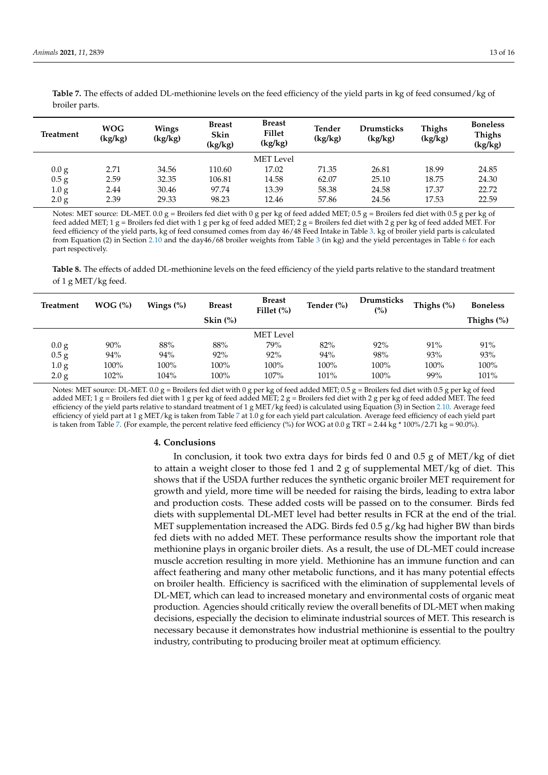| Treatment        | <b>WOG</b><br>(kg/kg) | Wings<br>(kg/kg) | <b>Breast</b><br>Skin<br>(kg/kg) | <b>Breast</b><br>Fillet<br>(kg/kg) | Tender<br>(kg/kg) | <b>Drumsticks</b><br>(kg/kg) | Thighs<br>(kg/kg) | <b>Boneless</b><br><b>Thighs</b><br>(kg/kg) |
|------------------|-----------------------|------------------|----------------------------------|------------------------------------|-------------------|------------------------------|-------------------|---------------------------------------------|
|                  |                       |                  |                                  | MET Level                          |                   |                              |                   |                                             |
| 0.0 <sub>g</sub> | 2.71                  | 34.56            | 110.60                           | 17.02                              | 71.35             | 26.81                        | 18.99             | 24.85                                       |
| 0.5 g            | 2.59                  | 32.35            | 106.81                           | 14.58                              | 62.07             | 25.10                        | 18.75             | 24.30                                       |
| 1.0 <sub>g</sub> | 2.44                  | 30.46            | 97.74                            | 13.39                              | 58.38             | 24.58                        | 17.37             | 22.72                                       |
| 2.0 <sub>g</sub> | 2.39                  | 29.33            | 98.23                            | 12.46                              | 57.86             | 24.56                        | 17.53             | 22.59                                       |

<span id="page-12-0"></span>**Table 7.** The effects of added DL-methionine levels on the feed efficiency of the yield parts in kg of feed consumed/kg of broiler parts.

Notes: MET source: DL-MET. 0.0 g = Broilers fed diet with 0 g per kg of feed added MET; 0.5 g = Broilers fed diet with 0.5 g per kg of feed added MET; 1 g = Broilers fed diet with 1 g per kg of feed added MET; 2 g = Broilers fed diet with 2 g per kg of feed added MET. For feed efficiency of the yield parts, kg of feed consumed comes from day 46/48 Feed Intake in Table [3.](#page-6-0) kg of broiler yield parts is calculated from Equation (2) in Section [2.10](#page-5-0) and the day46/68 broiler weights from Table [3](#page-6-0) (in kg) and the yield percentages in Table [6](#page-10-0) for each part respectively.

<span id="page-12-1"></span>**Table 8.** The effects of added DL-methionine levels on the feed efficiency of the yield parts relative to the standard treatment of 1 g MET/kg feed.

| <b>Treatment</b> | WOG (%) | Wings $(\%)$ | <b>Breast</b> | <b>Breast</b><br>Fillet $(\%)$ | Tender $(\%)$ | <b>Drumsticks</b><br>$\binom{0}{0}$ | Thighs $(\%)$ | <b>Boneless</b> |
|------------------|---------|--------------|---------------|--------------------------------|---------------|-------------------------------------|---------------|-----------------|
|                  |         |              | Skin $(%)$    |                                |               |                                     |               | Thighs $(\%)$   |
|                  |         |              |               | <b>MET</b> Level               |               |                                     |               |                 |
| 0.0 <sub>g</sub> | 90%     | 88%          | 88%           | 79%                            | 82%           | 92%                                 | 91%           | 91%             |
| 0.5 g            | 94%     | 94%          | 92%           | 92%                            | 94%           | 98%                                 | 93%           | 93%             |
| 1.0 <sub>g</sub> | 100%    | 100%         | 100%          | $100\%$                        | 100%          | 100%                                | 100%          | 100%            |
| 2.0 <sub>g</sub> | 102%    | 104%         | 100%          | 107%                           | 101%          | 100%                                | 99%           | 101%            |

Notes: MET source: DL-MET. 0.0 g = Broilers fed diet with 0 g per kg of feed added MET; 0.5 g = Broilers fed diet with 0.5 g per kg of feed added MET; 1 g = Broilers fed diet with 1 g per kg of feed added MET; 2 g = Broilers fed diet with 2 g per kg of feed added MET. The feed efficiency of the yield parts relative to standard treatment of 1 g MET/kg feed) is calculated using Equation (3) in Section [2.10.](#page-5-0) Average feed efficiency of yield part at 1 g MET/kg is taken from Table [7](#page-12-0) at 1.0 g for each yield part calculation. Average feed efficiency of each yield part is taken from Table [7.](#page-12-0) (For example, the percent relative feed efficiency  $\%$ ) for WOG at 0.0 g TRT = 2.44 kg  $*$  100%/2.71 kg = 90.0%).

## **4. Conclusions**

In conclusion, it took two extra days for birds fed 0 and 0.5 g of MET/kg of diet to attain a weight closer to those fed 1 and 2 g of supplemental MET/kg of diet. This shows that if the USDA further reduces the synthetic organic broiler MET requirement for growth and yield, more time will be needed for raising the birds, leading to extra labor and production costs. These added costs will be passed on to the consumer. Birds fed diets with supplemental DL-MET level had better results in FCR at the end of the trial. MET supplementation increased the ADG. Birds fed 0.5 g/kg had higher BW than birds fed diets with no added MET. These performance results show the important role that methionine plays in organic broiler diets. As a result, the use of DL-MET could increase muscle accretion resulting in more yield. Methionine has an immune function and can affect feathering and many other metabolic functions, and it has many potential effects on broiler health. Efficiency is sacrificed with the elimination of supplemental levels of DL-MET, which can lead to increased monetary and environmental costs of organic meat production. Agencies should critically review the overall benefits of DL-MET when making decisions, especially the decision to eliminate industrial sources of MET. This research is necessary because it demonstrates how industrial methionine is essential to the poultry industry, contributing to producing broiler meat at optimum efficiency.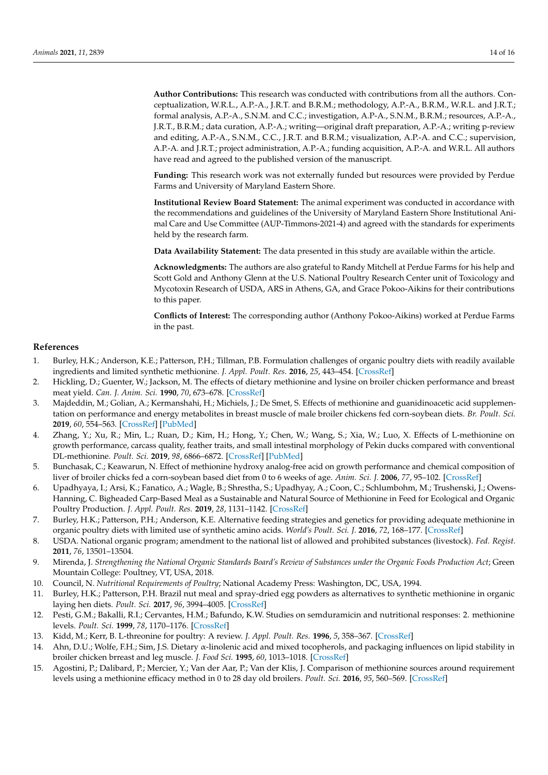**Author Contributions:** This research was conducted with contributions from all the authors. Conceptualization, W.R.L., A.P.-A., J.R.T. and B.R.M.; methodology, A.P.-A., B.R.M., W.R.L. and J.R.T.; formal analysis, A.P.-A., S.N.M. and C.C.; investigation, A.P-A., S.N.M., B.R.M.; resources, A.P.-A., J.R.T., B.R.M.; data curation, A.P.-A.; writing—original draft preparation, A.P.-A.; writing p-review and editing, A.P.-A., S.N.M., C.C., J.R.T. and B.R.M.; visualization, A.P.-A. and C.C.; supervision, A.P.-A. and J.R.T.; project administration, A.P.-A.; funding acquisition, A.P.-A. and W.R.L. All authors have read and agreed to the published version of the manuscript.

**Funding:** This research work was not externally funded but resources were provided by Perdue Farms and University of Maryland Eastern Shore.

**Institutional Review Board Statement:** The animal experiment was conducted in accordance with the recommendations and guidelines of the University of Maryland Eastern Shore Institutional Animal Care and Use Committee (AUP-Timmons-2021-4) and agreed with the standards for experiments held by the research farm.

**Data Availability Statement:** The data presented in this study are available within the article.

**Acknowledgments:** The authors are also grateful to Randy Mitchell at Perdue Farms for his help and Scott Gold and Anthony Glenn at the U.S. National Poultry Research Center unit of Toxicology and Mycotoxin Research of USDA, ARS in Athens, GA, and Grace Pokoo-Aikins for their contributions to this paper.

**Conflicts of Interest:** The corresponding author (Anthony Pokoo-Aikins) worked at Perdue Farms in the past.

## **References**

- <span id="page-13-0"></span>1. Burley, H.K.; Anderson, K.E.; Patterson, P.H.; Tillman, P.B. Formulation challenges of organic poultry diets with readily available ingredients and limited synthetic methionine. *J. Appl. Poult. Res.* **2016**, *25*, 443–454. [\[CrossRef\]](http://doi.org/10.3382/japr/pfw012)
- <span id="page-13-1"></span>2. Hickling, D.; Guenter, W.; Jackson, M. The effects of dietary methionine and lysine on broiler chicken performance and breast meat yield. *Can. J. Anim. Sci.* **1990**, *70*, 673–678. [\[CrossRef\]](http://doi.org/10.4141/cjas90-079)
- <span id="page-13-2"></span>3. Majdeddin, M.; Golian, A.; Kermanshahi, H.; Michiels, J.; De Smet, S. Effects of methionine and guanidinoacetic acid supplementation on performance and energy metabolites in breast muscle of male broiler chickens fed corn-soybean diets. *Br. Poult. Sci.* **2019**, *60*, 554–563. [\[CrossRef\]](http://doi.org/10.1080/00071668.2019.1631447) [\[PubMed\]](http://www.ncbi.nlm.nih.gov/pubmed/31190558)
- <span id="page-13-3"></span>4. Zhang, Y.; Xu, R.; Min, L.; Ruan, D.; Kim, H.; Hong, Y.; Chen, W.; Wang, S.; Xia, W.; Luo, X. Effects of L-methionine on growth performance, carcass quality, feather traits, and small intestinal morphology of Pekin ducks compared with conventional DL-methionine. *Poult. Sci.* **2019**, *98*, 6866–6872. [\[CrossRef\]](http://doi.org/10.3382/ps/pez438) [\[PubMed\]](http://www.ncbi.nlm.nih.gov/pubmed/31350999)
- <span id="page-13-4"></span>5. Bunchasak, C.; Keawarun, N. Effect of methionine hydroxy analog-free acid on growth performance and chemical composition of liver of broiler chicks fed a corn-soybean based diet from 0 to 6 weeks of age. *Anim. Sci. J.* **2006**, *77*, 95–102. [\[CrossRef\]](http://doi.org/10.1111/j.1740-0929.2006.00325.x)
- <span id="page-13-5"></span>6. Upadhyaya, I.; Arsi, K.; Fanatico, A.; Wagle, B.; Shrestha, S.; Upadhyay, A.; Coon, C.; Schlumbohm, M.; Trushenski, J.; Owens-Hanning, C. Bigheaded Carp-Based Meal as a Sustainable and Natural Source of Methionine in Feed for Ecological and Organic Poultry Production. *J. Appl. Poult. Res.* **2019**, *28*, 1131–1142. [\[CrossRef\]](http://doi.org/10.3382/japr/pfz077)
- <span id="page-13-6"></span>7. Burley, H.K.; Patterson, P.H.; Anderson, K.E. Alternative feeding strategies and genetics for providing adequate methionine in organic poultry diets with limited use of synthetic amino acids. *World's Poult. Sci. J.* **2016**, *72*, 168–177. [\[CrossRef\]](http://doi.org/10.1017/S0043933915002688)
- <span id="page-13-7"></span>8. USDA. National organic program; amendment to the national list of allowed and prohibited substances (livestock). *Fed. Regist.* **2011**, *76*, 13501–13504.
- <span id="page-13-8"></span>9. Mirenda, J. *Strengthening the National Organic Standards Board's Review of Substances under the Organic Foods Production Act*; Green Mountain College: Poultney, VT, USA, 2018.
- <span id="page-13-9"></span>10. Council, N. *Nutritional Requirements of Poultry*; National Academy Press: Washington, DC, USA, 1994.
- <span id="page-13-10"></span>11. Burley, H.K.; Patterson, P.H. Brazil nut meal and spray-dried egg powders as alternatives to synthetic methionine in organic laying hen diets. *Poult. Sci.* **2017**, *96*, 3994–4005. [\[CrossRef\]](http://doi.org/10.3382/ps/pex222)
- <span id="page-13-11"></span>12. Pesti, G.M.; Bakalli, R.I.; Cervantes, H.M.; Bafundo, K.W. Studies on semduramicin and nutritional responses: 2. methionine levels. *Poult. Sci.* **1999**, *78*, 1170–1176. [\[CrossRef\]](http://doi.org/10.1093/ps/78.8.1170)
- <span id="page-13-12"></span>13. Kidd, M.; Kerr, B. L-threonine for poultry: A review. *J. Appl. Poult. Res.* **1996**, *5*, 358–367. [\[CrossRef\]](http://doi.org/10.1093/japr/5.4.358)
- <span id="page-13-13"></span>14. Ahn, D.U.; Wolfe, F.H.; Sim, J.S. Dietary α-linolenic acid and mixed tocopherols, and packaging influences on lipid stability in broiler chicken brreast and leg muscle. *J. Food Sci.* **1995**, *60*, 1013–1018. [\[CrossRef\]](http://doi.org/10.1111/j.1365-2621.1995.tb06282.x)
- <span id="page-13-14"></span>15. Agostini, P.; Dalibard, P.; Mercier, Y.; Van der Aar, P.; Van der Klis, J. Comparison of methionine sources around requirement levels using a methionine efficacy method in 0 to 28 day old broilers. *Poult. Sci.* **2016**, *95*, 560–569. [\[CrossRef\]](http://doi.org/10.3382/ps/pev340)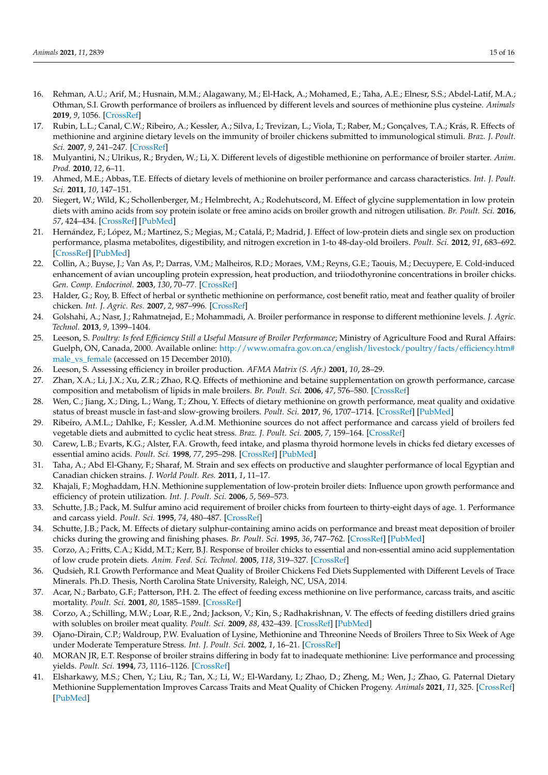- <span id="page-14-0"></span>16. Rehman, A.U.; Arif, M.; Husnain, M.M.; Alagawany, M.; El-Hack, A.; Mohamed, E.; Taha, A.E.; Elnesr, S.S.; Abdel-Latif, M.A.; Othman, S.I. Growth performance of broilers as influenced by different levels and sources of methionine plus cysteine. *Animals* **2019**, *9*, 1056. [\[CrossRef\]](http://doi.org/10.3390/ani9121056)
- <span id="page-14-1"></span>17. Rubin, L.L.; Canal, C.W.; Ribeiro, A.; Kessler, A.; Silva, I.; Trevizan, L.; Viola, T.; Raber, M.; Gonçalves, T.A.; Krás, R. Effects of methionine and arginine dietary levels on the immunity of broiler chickens submitted to immunological stimuli. *Braz. J. Poult. Sci.* **2007**, *9*, 241–247. [\[CrossRef\]](http://doi.org/10.1590/S1516-635X2007000400006)
- <span id="page-14-2"></span>18. Mulyantini, N.; Ulrikus, R.; Bryden, W.; Li, X. Different levels of digestible methionine on performance of broiler starter. *Anim. Prod.* **2010**, *12*, 6–11.
- <span id="page-14-3"></span>19. Ahmed, M.E.; Abbas, T.E. Effects of dietary levels of methionine on broiler performance and carcass characteristics. *Int. J. Poult. Sci.* **2011**, *10*, 147–151.
- <span id="page-14-4"></span>20. Siegert, W.; Wild, K.; Schollenberger, M.; Helmbrecht, A.; Rodehutscord, M. Effect of glycine supplementation in low protein diets with amino acids from soy protein isolate or free amino acids on broiler growth and nitrogen utilisation. *Br. Poult. Sci.* **2016**, *57*, 424–434. [\[CrossRef\]](http://doi.org/10.1080/00071668.2016.1163523) [\[PubMed\]](http://www.ncbi.nlm.nih.gov/pubmed/26955743)
- <span id="page-14-5"></span>21. Hernández, F.; López, M.; Martinez, S.; Megias, M.; Catalá, P.; Madrid, J. Effect of low-protein diets and single sex on production performance, plasma metabolites, digestibility, and nitrogen excretion in 1-to 48-day-old broilers. *Poult. Sci.* **2012**, *91*, 683–692. [\[CrossRef\]](http://doi.org/10.3382/ps.2011-01735) [\[PubMed\]](http://www.ncbi.nlm.nih.gov/pubmed/22334744)
- <span id="page-14-6"></span>22. Collin, A.; Buyse, J.; Van As, P.; Darras, V.M.; Malheiros, R.D.; Moraes, V.M.; Reyns, G.E.; Taouis, M.; Decuypere, E. Cold-induced enhancement of avian uncoupling protein expression, heat production, and triiodothyronine concentrations in broiler chicks. *Gen. Comp. Endocrinol.* **2003**, *130*, 70–77. [\[CrossRef\]](http://doi.org/10.1016/S0016-6480(02)00571-3)
- <span id="page-14-7"></span>23. Halder, G.; Roy, B. Effect of herbal or synthetic methionine on performance, cost benefit ratio, meat and feather quality of broiler chicken. *Int. J. Agric. Res.* **2007**, *2*, 987–996. [\[CrossRef\]](http://doi.org/10.3923/ijar.2007.987.996)
- <span id="page-14-8"></span>24. Golshahi, A.; Nasr, J.; Rahmatnejad, E.; Mohammadi, A. Broiler performance in response to different methionine levels. *J. Agric. Technol.* **2013**, *9*, 1399–1404.
- <span id="page-14-9"></span>25. Leeson, S. *Poultry: Is feed Efficiency Still a Useful Measure of Broiler Performance*; Ministry of Agriculture Food and Rural Affairs: Guelph, ON, Canada, 2000. Available online: [http://www.omafra.gov.on.ca/english/livestock/poultry/facts/efficiency.htm#](http://www.omafra.gov.on.ca/english/livestock/poultry/facts/efficiency.htm#male_vs_female) [male\\_vs\\_female](http://www.omafra.gov.on.ca/english/livestock/poultry/facts/efficiency.htm#male_vs_female) (accessed on 15 December 2010).
- 26. Leeson, S. Assessing efficiency in broiler production. *AFMA Matrix (S. Afr.)* **2001**, *10*, 28–29.
- 27. Zhan, X.A.; Li, J.X.; Xu, Z.R.; Zhao, R.Q. Effects of methionine and betaine supplementation on growth performance, carcase composition and metabolism of lipids in male broilers. *Br. Poult. Sci.* **2006**, *47*, 576–580. [\[CrossRef\]](http://doi.org/10.1080/00071660600963438)
- <span id="page-14-10"></span>28. Wen, C.; Jiang, X.; Ding, L.; Wang, T.; Zhou, Y. Effects of dietary methionine on growth performance, meat quality and oxidative status of breast muscle in fast-and slow-growing broilers. *Poult. Sci.* **2017**, *96*, 1707–1714. [\[CrossRef\]](http://doi.org/10.3382/ps/pew432) [\[PubMed\]](http://www.ncbi.nlm.nih.gov/pubmed/28008130)
- <span id="page-14-11"></span>29. Ribeiro, A.M.L.; Dahlke, F.; Kessler, A.d.M. Methionine sources do not affect performance and carcass yield of broilers fed vegetable diets and aubmitted to cyclic heat stress. *Braz. J. Poult. Sci.* **2005**, *7*, 159–164. [\[CrossRef\]](http://doi.org/10.1590/S1516-635X2005000300004)
- <span id="page-14-12"></span>30. Carew, L.B.; Evarts, K.G.; Alster, F.A. Growth, feed intake, and plasma thyroid hormone levels in chicks fed dietary excesses of essential amino acids. *Poult. Sci.* **1998**, *77*, 295–298. [\[CrossRef\]](http://doi.org/10.1093/ps/77.2.295) [\[PubMed\]](http://www.ncbi.nlm.nih.gov/pubmed/9495496)
- <span id="page-14-13"></span>31. Taha, A.; Abd El-Ghany, F.; Sharaf, M. Strain and sex effects on productive and slaughter performance of local Egyptian and Canadian chicken strains. *J. World Poult. Res.* **2011**, *1*, 11–17.
- <span id="page-14-14"></span>32. Khajali, F.; Moghaddam, H.N. Methionine supplementation of low-protein broiler diets: Influence upon growth performance and efficiency of protein utilization. *Int. J. Poult. Sci.* **2006**, *5*, 569–573.
- <span id="page-14-15"></span>33. Schutte, J.B.; Pack, M. Sulfur amino acid requirement of broiler chicks from fourteen to thirty-eight days of age. 1. Performance and carcass yield. *Poult. Sci.* **1995**, *74*, 480–487. [\[CrossRef\]](http://doi.org/10.3382/ps.0740480)
- <span id="page-14-16"></span>34. Schutte, J.B.; Pack, M. Effects of dietary sulphur-containing amino acids on performance and breast meat deposition of broiler chicks during the growing and finishing phases. *Br. Poult. Sci.* **1995**, *36*, 747–762. [\[CrossRef\]](http://doi.org/10.1080/00071669508417819) [\[PubMed\]](http://www.ncbi.nlm.nih.gov/pubmed/8746976)
- <span id="page-14-17"></span>35. Corzo, A.; Fritts, C.A.; Kidd, M.T.; Kerr, B.J. Response of broiler chicks to essential and non-essential amino acid supplementation of low crude protein diets. *Anim. Feed. Sci. Technol.* **2005**, *118*, 319–327. [\[CrossRef\]](http://doi.org/10.1016/j.anifeedsci.2004.11.007)
- <span id="page-14-18"></span>36. Qudsieh, R.I. Growth Performance and Meat Quality of Broiler Chickens Fed Diets Supplemented with Different Levels of Trace Minerals. Ph.D. Thesis, North Carolina State University, Raleigh, NC, USA, 2014.
- <span id="page-14-19"></span>37. Acar, N.; Barbato, G.F.; Patterson, P.H. 2. The effect of feeding excess methionine on live performance, carcass traits, and ascitic mortality. *Poult. Sci.* **2001**, *80*, 1585–1589. [\[CrossRef\]](http://doi.org/10.1093/ps/80.11.1585)
- <span id="page-14-20"></span>38. Corzo, A.; Schilling, M.W.; Loar, R.E., 2nd; Jackson, V.; Kin, S.; Radhakrishnan, V. The effects of feeding distillers dried grains with solubles on broiler meat quality. *Poult. Sci.* **2009**, *88*, 432–439. [\[CrossRef\]](http://doi.org/10.3382/ps.2008-00406) [\[PubMed\]](http://www.ncbi.nlm.nih.gov/pubmed/19151359)
- <span id="page-14-21"></span>39. Ojano-Dirain, C.P.; Waldroup, P.W. Evaluation of Lysine, Methionine and Threonine Needs of Broilers Three to Six Week of Age under Moderate Temperature Stress. *Int. J. Poult. Sci.* **2002**, *1*, 16–21. [\[CrossRef\]](http://doi.org/10.3923/ijps.2002.16.21)
- <span id="page-14-22"></span>40. MORAN JR, E.T. Response of broiler strains differing in body fat to inadequate methionine: Live performance and processing yields. *Poult. Sci.* **1994**, *73*, 1116–1126. [\[CrossRef\]](http://doi.org/10.3382/ps.0731116)
- <span id="page-14-23"></span>41. Elsharkawy, M.S.; Chen, Y.; Liu, R.; Tan, X.; Li, W.; El-Wardany, I.; Zhao, D.; Zheng, M.; Wen, J.; Zhao, G. Paternal Dietary Methionine Supplementation Improves Carcass Traits and Meat Quality of Chicken Progeny. *Animals* **2021**, *11*, 325. [\[CrossRef\]](http://doi.org/10.3390/ani11020325) [\[PubMed\]](http://www.ncbi.nlm.nih.gov/pubmed/33525477)